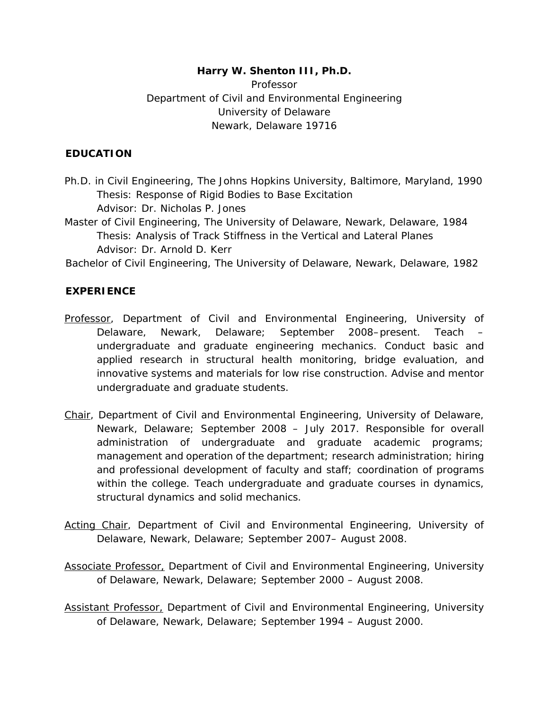# **Harry W. Shenton III, Ph.D.**

Professor Department of Civil and Environmental Engineering University of Delaware Newark, Delaware 19716

#### **EDUCATION**

- Ph.D. in Civil Engineering, The Johns Hopkins University, Baltimore, Maryland, 1990 *Thesis:* Response of Rigid Bodies to Base Excitation *Advisor:* Dr. Nicholas P. Jones
- Master of Civil Engineering, The University of Delaware, Newark, Delaware, 1984 *Thesis:* Analysis of Track Stiffness in the Vertical and Lateral Planes *Advisor:* Dr. Arnold D. Kerr
- Bachelor of Civil Engineering, The University of Delaware, Newark, Delaware, 1982

### **EXPERIENCE**

- *Professor, Department of Civil and Environmental Engineering, University of Delaware, Newark, Delaware; September 2008–present.* Teach – undergraduate and graduate engineering mechanics. Conduct basic and applied research in structural health monitoring, bridge evaluation, and innovative systems and materials for low rise construction. Advise and mentor undergraduate and graduate students.
- *Chair, Department of Civil and Environmental Engineering, University of Delaware, Newark, Delaware; September 2008 – July 2017.* Responsible for overall administration of undergraduate and graduate academic programs; management and operation of the department; research administration; hiring and professional development of faculty and staff; coordination of programs within the college. Teach undergraduate and graduate courses in dynamics, structural dynamics and solid mechanics.
- *Acting Chair, Department of Civil and Environmental Engineering, University of Delaware, Newark, Delaware; September 2007– August 2008.*
- *Associate Professor, Department of Civil and Environmental Engineering, University of Delaware, Newark, Delaware; September 2000 – August 2008.*
- *Assistant Professor, Department of Civil and Environmental Engineering, University of Delaware, Newark, Delaware; September 1994 – August 2000.*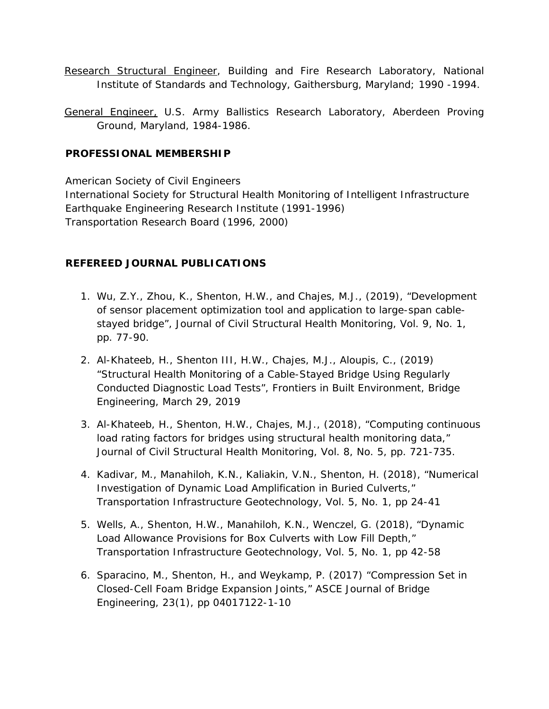*Research Structural Engineer, Building and Fire Research Laboratory, National Institute of Standards and Technology, Gaithersburg, Maryland; 1990 -1994.* 

*General Engineer, U.S. Army Ballistics Research Laboratory, Aberdeen Proving Ground, Maryland, 1984-1986.* 

#### **PROFESSIONAL MEMBERSHIP**

American Society of Civil Engineers International Society for Structural Health Monitoring of Intelligent Infrastructure Earthquake Engineering Research Institute (1991-1996) Transportation Research Board (1996, 2000)

### **REFEREED JOURNAL PUBLICATIONS**

- 1. Wu, Z.Y., Zhou, K., Shenton, H.W., and Chajes, M.J., (2019), "Development of sensor placement optimization tool and application to large-span cablestayed bridge", Journal of Civil Structural Health Monitoring, Vol. 9, No. 1, pp. 77-90.
- 2. Al-Khateeb, H., Shenton III, H.W., Chajes, M.J., Aloupis, C., (2019) "Structural Health Monitoring of a Cable-Stayed Bridge Using Regularly Conducted Diagnostic Load Tests", Frontiers in Built Environment, Bridge Engineering, March 29, 2019
- 3. Al-Khateeb, H., Shenton, H.W., Chajes, M.J., (2018), "Computing continuous load rating factors for bridges using structural health monitoring data," Journal of Civil Structural Health Monitoring, Vol. 8, No. 5, pp. 721-735.
- 4. Kadivar, M., Manahiloh, K.N., Kaliakin, V.N., Shenton, H. (2018), "Numerical Investigation of Dynamic Load Amplification in Buried Culverts," Transportation Infrastructure Geotechnology, Vol. 5, No. 1, pp 24-41
- 5. Wells, A., Shenton, H.W., Manahiloh, K.N., Wenczel, G. (2018), "Dynamic Load Allowance Provisions for Box Culverts with Low Fill Depth," Transportation Infrastructure Geotechnology, Vol. 5, No. 1, pp 42-58
- 6. Sparacino, M., Shenton, H., and Weykamp, P. (2017) "Compression Set in Closed-Cell Foam Bridge Expansion Joints," ASCE Journal of Bridge Engineering, 23(1), pp 04017122-1-10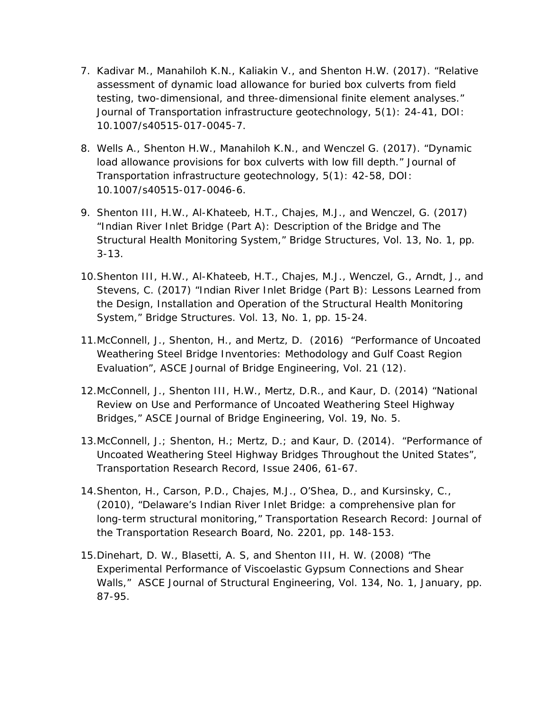- 7. Kadivar M., Manahiloh K.N., Kaliakin V., and Shenton H.W. (2017). "Relative assessment of dynamic load allowance for buried box culverts from field testing, two-dimensional, and three-dimensional finite element analyses." Journal of Transportation infrastructure geotechnology, 5(1): 24-41, DOI: 10.1007/s40515-017-0045-7.
- 8. Wells A., Shenton H.W., Manahiloh K.N., and Wenczel G. (2017). "Dynamic load allowance provisions for box culverts with low fill depth." Journal of Transportation infrastructure geotechnology, 5(1): 42-58, DOI: 10.1007/s40515-017-0046-6.
- 9. Shenton III, H.W., Al-Khateeb, H.T., Chajes, M.J., and Wenczel, G. (2017) "Indian River Inlet Bridge (Part A): Description of the Bridge and The Structural Health Monitoring System," Bridge Structures, Vol. 13, No. 1, pp. 3-13.
- 10.Shenton III, H.W., Al-Khateeb, H.T., Chajes, M.J., Wenczel, G., Arndt, J., and Stevens, C. (2017) "Indian River Inlet Bridge (Part B): Lessons Learned from the Design, Installation and Operation of the Structural Health Monitoring System," Bridge Structures. Vol. 13, No. 1, pp. 15-24.
- 11.McConnell, J., Shenton, H., and Mertz, D. (2016) "Performance of Uncoated Weathering Steel Bridge Inventories: Methodology and Gulf Coast Region Evaluation", ASCE Journal of Bridge Engineering, Vol. 21 (12).
- 12.McConnell, J., Shenton III, H.W., Mertz, D.R., and Kaur, D. (2014) "National Review on Use and Performance of Uncoated Weathering Steel Highway Bridges," ASCE Journal of Bridge Engineering, Vol. 19, No. 5.
- 13.McConnell, J.; Shenton, H.; Mertz, D.; and Kaur, D. (2014). "Performance of Uncoated Weathering Steel Highway Bridges Throughout the United States", Transportation Research Record, Issue 2406, 61-67.
- 14.Shenton, H., Carson, P.D., Chajes, M.J., O'Shea, D., and Kursinsky, C., (2010), "Delaware's Indian River Inlet Bridge: a comprehensive plan for long-term structural monitoring," Transportation Research Record: Journal of the Transportation Research Board, No. 2201, pp. 148-153.
- 15.Dinehart, D. W., Blasetti, A. S, and Shenton III, H. W. (2008) "The Experimental Performance of Viscoelastic Gypsum Connections and Shear Walls," ASCE Journal of Structural Engineering, Vol. 134, No. 1, January, pp. 87-95.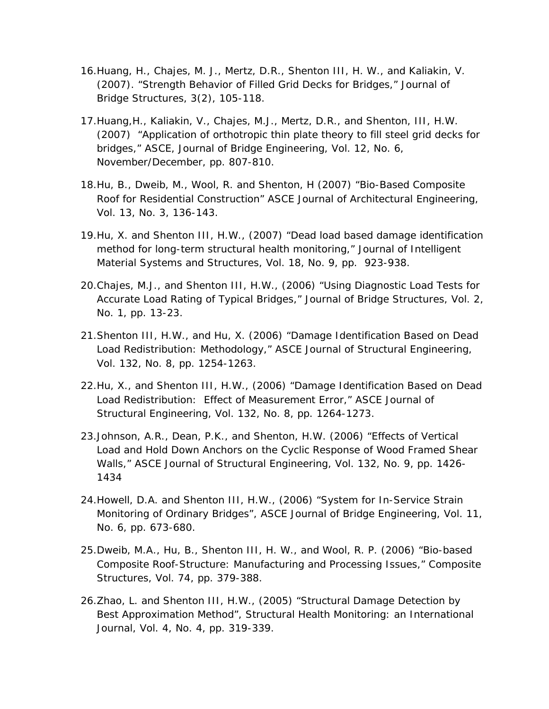- 16.Huang, H., Chajes, M. J., Mertz, D.R., Shenton III, H. W., and Kaliakin, V. (2007). "Strength Behavior of Filled Grid Decks for Bridges," Journal of Bridge Structures, 3(2), 105-118.
- 17.Huang,H., Kaliakin, V., Chajes, M.J., Mertz, D.R., and Shenton, III, H.W. (2007) "Application of orthotropic thin plate theory to fill steel grid decks for bridges," ASCE, Journal of Bridge Engineering, Vol. 12, No. 6, November/December, pp. 807-810.
- 18.Hu, B., Dweib, M., Wool, R. and Shenton, H (2007) "Bio-Based Composite Roof for Residential Construction" ASCE Journal of Architectural Engineering, Vol. 13, No. 3, 136-143.
- 19.Hu, X. and Shenton III, H.W., (2007) "Dead load based damage identification method for long-term structural health monitoring," Journal of Intelligent Material Systems and Structures, Vol. 18, No. 9, pp. 923-938.
- 20.Chajes, M.J., and Shenton III, H.W., (2006) "Using Diagnostic Load Tests for Accurate Load Rating of Typical Bridges," Journal of Bridge Structures, Vol. 2, No. 1, pp. 13-23.
- 21.Shenton III, H.W., and Hu, X. (2006) "Damage Identification Based on Dead Load Redistribution: Methodology," ASCE Journal of Structural Engineering, Vol. 132, No. 8, pp. 1254-1263.
- 22.Hu, X., and Shenton III, H.W., (2006) "Damage Identification Based on Dead Load Redistribution: Effect of Measurement Error," ASCE Journal of Structural Engineering, Vol. 132, No. 8, pp. 1264-1273.
- 23.Johnson, A.R., Dean, P.K., and Shenton, H.W. (2006) "Effects of Vertical Load and Hold Down Anchors on the Cyclic Response of Wood Framed Shear Walls," ASCE Journal of Structural Engineering, Vol. 132, No. 9, pp. 1426- 1434
- 24.Howell, D.A. and Shenton III, H.W., (2006) "System for In-Service Strain Monitoring of Ordinary Bridges", ASCE Journal of Bridge Engineering, Vol. 11, No. 6, pp. 673-680.
- 25.Dweib, M.A., Hu, B., Shenton III, H. W., and Wool, R. P. (2006) "Bio-based Composite Roof-Structure: Manufacturing and Processing Issues," Composite Structures, Vol. 74, pp. 379-388.
- 26.Zhao, L. and Shenton III, H.W., (2005) "Structural Damage Detection by Best Approximation Method", Structural Health Monitoring: an International Journal, Vol. 4, No. 4, pp. 319-339.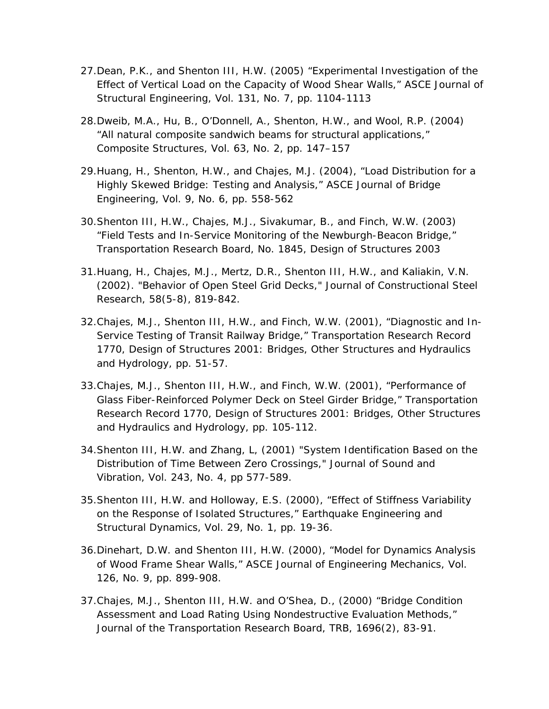- 27.Dean, P.K., and Shenton III, H.W. (2005) "Experimental Investigation of the Effect of Vertical Load on the Capacity of Wood Shear Walls," ASCE Journal of Structural Engineering, Vol. 131, No. 7, pp. 1104-1113
- 28.Dweib, M.A., Hu, B., O'Donnell, A., Shenton, H.W., and Wool, R.P. (2004) "All natural composite sandwich beams for structural applications," Composite Structures, Vol. 63, No. 2, pp. 147–157
- 29.Huang, H., Shenton, H.W., and Chajes, M.J. (2004), "Load Distribution for a Highly Skewed Bridge: Testing and Analysis," ASCE Journal of Bridge Engineering, Vol. 9, No. 6, pp. 558-562
- 30.Shenton III, H.W., Chajes, M.J., Sivakumar, B., and Finch, W.W. (2003) "Field Tests and In-Service Monitoring of the Newburgh-Beacon Bridge," Transportation Research Board, No. 1845, Design of Structures 2003
- 31.Huang, H., Chajes, M.J., Mertz, D.R., Shenton III, H.W., and Kaliakin, V.N. (2002). "Behavior of Open Steel Grid Decks," Journal of Constructional Steel Research, 58(5-8), 819-842.
- 32.Chajes, M.J., Shenton III, H.W., and Finch, W.W. (2001), "Diagnostic and In-Service Testing of Transit Railway Bridge," Transportation Research Record 1770, Design of Structures 2001: Bridges, Other Structures and Hydraulics and Hydrology, pp. 51-57.
- 33.Chajes, M.J., Shenton III, H.W., and Finch, W.W. (2001), "Performance of Glass Fiber-Reinforced Polymer Deck on Steel Girder Bridge," Transportation Research Record 1770, Design of Structures 2001: Bridges, Other Structures and Hydraulics and Hydrology, pp. 105-112.
- 34.Shenton III, H.W. and Zhang, L, (2001) "System Identification Based on the Distribution of Time Between Zero Crossings," Journal of Sound and Vibration, Vol. 243, No. 4, pp 577-589.
- 35.Shenton III, H.W. and Holloway, E.S. (2000), "Effect of Stiffness Variability on the Response of Isolated Structures," Earthquake Engineering and Structural Dynamics, Vol. 29, No. 1, pp. 19-36.
- 36.Dinehart, D.W. and Shenton III, H.W. (2000), "Model for Dynamics Analysis of Wood Frame Shear Walls," ASCE Journal of Engineering Mechanics, Vol. 126, No. 9, pp. 899-908.
- 37.Chajes, M.J., Shenton III, H.W. and O'Shea, D., (2000) "Bridge Condition Assessment and Load Rating Using Nondestructive Evaluation Methods," Journal of the Transportation Research Board, TRB, 1696(2), 83-91.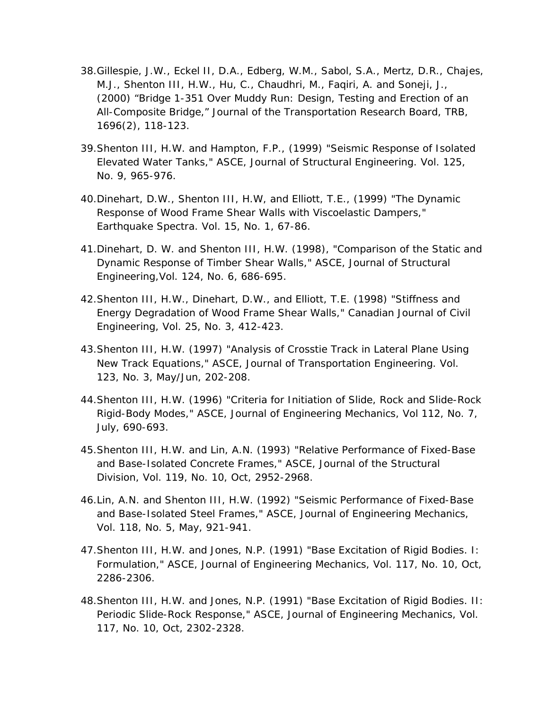- 38.Gillespie, J.W., Eckel II, D.A., Edberg, W.M., Sabol, S.A., Mertz, D.R., Chajes, M.J., Shenton III, H.W., Hu, C., Chaudhri, M., Faqiri, A. and Soneji, J., (2000) "Bridge 1-351 Over Muddy Run: Design, Testing and Erection of an All-Composite Bridge," Journal of the Transportation Research Board, TRB, 1696(2), 118-123.
- 39.Shenton III, H.W. and Hampton, F.P., (1999) "Seismic Response of Isolated Elevated Water Tanks," ASCE, Journal of Structural Engineering. Vol. 125, No. 9, 965-976.
- 40.Dinehart, D.W., Shenton III, H.W, and Elliott, T.E., (1999) "The Dynamic Response of Wood Frame Shear Walls with Viscoelastic Dampers," Earthquake Spectra. Vol. 15, No. 1, 67-86.
- 41.Dinehart, D. W. and Shenton III, H.W. (1998), "Comparison of the Static and Dynamic Response of Timber Shear Walls," ASCE, Journal of Structural Engineering,Vol. 124, No. 6, 686-695.
- 42.Shenton III, H.W., Dinehart, D.W., and Elliott, T.E. (1998) "Stiffness and Energy Degradation of Wood Frame Shear Walls," Canadian Journal of Civil Engineering, Vol. 25, No. 3, 412-423.
- 43.Shenton III, H.W. (1997) "Analysis of Crosstie Track in Lateral Plane Using New Track Equations," ASCE, Journal of Transportation Engineering. Vol. 123, No. 3, May/Jun, 202-208.
- 44.Shenton III, H.W. (1996) "Criteria for Initiation of Slide, Rock and Slide-Rock Rigid-Body Modes," ASCE, Journal of Engineering Mechanics, Vol 112, No. 7, July, 690-693.
- 45.Shenton III, H.W. and Lin, A.N. (1993) "Relative Performance of Fixed-Base and Base-Isolated Concrete Frames," ASCE, Journal of the Structural Division, Vol. 119, No. 10, Oct, 2952-2968.
- 46.Lin, A.N. and Shenton III, H.W. (1992) "Seismic Performance of Fixed-Base and Base-Isolated Steel Frames," ASCE, Journal of Engineering Mechanics, Vol. 118, No. 5, May, 921-941.
- 47.Shenton III, H.W. and Jones, N.P. (1991) "Base Excitation of Rigid Bodies. I: Formulation," ASCE, Journal of Engineering Mechanics, Vol. 117, No. 10, Oct, 2286-2306.
- 48.Shenton III, H.W. and Jones, N.P. (1991) "Base Excitation of Rigid Bodies. II: Periodic Slide-Rock Response," ASCE, Journal of Engineering Mechanics, Vol. 117, No. 10, Oct, 2302-2328.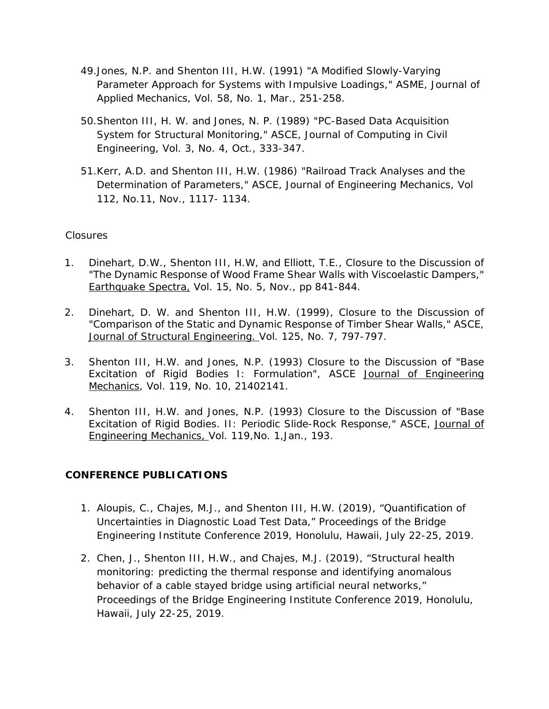- 49.Jones, N.P. and Shenton III, H.W. (1991) "A Modified Slowly-Varying Parameter Approach for Systems with Impulsive Loadings," ASME, Journal of Applied Mechanics, Vol. 58, No. 1, Mar., 251-258.
- 50.Shenton III, H. W. and Jones, N. P. (1989) "PC-Based Data Acquisition System for Structural Monitoring," ASCE, Journal of Computing in Civil Engineering, Vol. 3, No. 4, Oct., 333-347.
- 51.Kerr, A.D. and Shenton III, H.W. (1986) "Railroad Track Analyses and the Determination of Parameters," ASCE, Journal of Engineering Mechanics, Vol 112, No.11, Nov., 1117- 1134.

#### *Closures*

- 1. Dinehart, D.W., Shenton III, H.W, and Elliott, T.E., *Closure to the Discussion* of "The Dynamic Response of Wood Frame Shear Walls with Viscoelastic Dampers," Earthquake Spectra, Vol. 15, No. 5, Nov., pp 841-844.
- 2. Dinehart, D. W. and Shenton III, H.W. (1999), *Closure to the Discussion* of "Comparison of the Static and Dynamic Response of Timber Shear Walls," ASCE, Journal of Structural Engineering. Vol. 125, No. 7, 797-797.
- 3. Shenton III, H.W. and Jones, N.P. (1993) *Closure to the Discussion* of "Base Excitation of Rigid Bodies I: Formulation", ASCE Journal of Engineering Mechanics, Vol. 119, No. 10, 21402141.
- 4. Shenton III, H.W. and Jones, N.P. (1993) *Closure to the Discussion* of "Base Excitation of Rigid Bodies. II: Periodic Slide-Rock Response," ASCE, Journal of Engineering Mechanics, Vol. 119,No. 1,Jan., 193.

### **CONFERENCE PUBLICATIONS**

- 1. Aloupis, C., Chajes, M.J., and Shenton III, H.W. (2019), "Quantification of Uncertainties in Diagnostic Load Test Data," Proceedings of the Bridge Engineering Institute Conference 2019, Honolulu, Hawaii, July 22-25, 2019.
- 2. Chen, J., Shenton III, H.W., and Chajes, M.J. (2019), "Structural health monitoring: predicting the thermal response and identifying anomalous behavior of a cable stayed bridge using artificial neural networks," Proceedings of the Bridge Engineering Institute Conference 2019, Honolulu, Hawaii, July 22-25, 2019.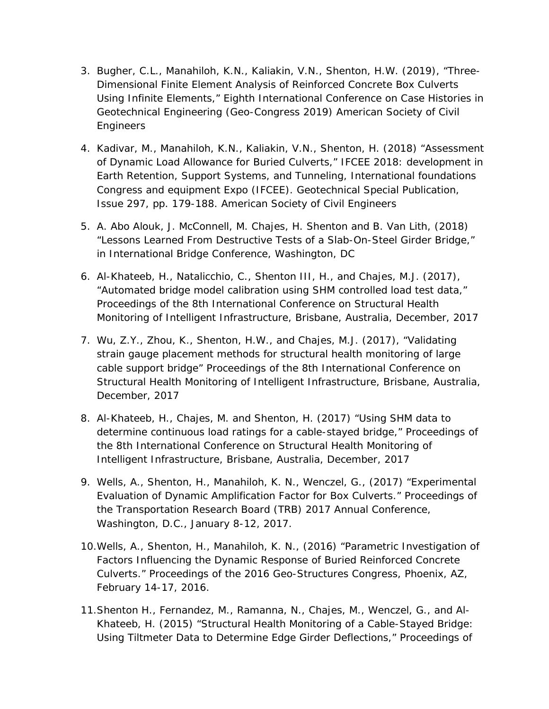- 3. Bugher, C.L., Manahiloh, K.N., Kaliakin, V.N., Shenton, H.W. (2019), "Three-Dimensional Finite Element Analysis of Reinforced Concrete Box Culverts Using Infinite Elements," Eighth International Conference on Case Histories in Geotechnical Engineering (Geo-Congress 2019) American Society of Civil Engineers
- 4. Kadivar, M., Manahiloh, K.N., Kaliakin, V.N., Shenton, H. (2018) "Assessment of Dynamic Load Allowance for Buried Culverts," IFCEE 2018: development in Earth Retention, Support Systems, and Tunneling, International foundations Congress and equipment Expo (IFCEE). Geotechnical Special Publication, Issue 297, pp. 179-188. American Society of Civil Engineers
- 5. A. Abo Alouk, J. McConnell, M. Chajes, H. Shenton and B. Van Lith, (2018) "Lessons Learned From Destructive Tests of a Slab-On-Steel Girder Bridge," in International Bridge Conference, Washington, DC
- 6. Al-Khateeb, H., Natalicchio, C., Shenton III, H., and Chajes, M.J. (2017), "Automated bridge model calibration using SHM controlled load test data," Proceedings of the 8th International Conference on Structural Health Monitoring of Intelligent Infrastructure, Brisbane, Australia, December, 2017
- 7. Wu, Z.Y., Zhou, K., Shenton, H.W., and Chajes, M.J. (2017), "Validating strain gauge placement methods for structural health monitoring of large cable support bridge" Proceedings of the 8th International Conference on Structural Health Monitoring of Intelligent Infrastructure, Brisbane, Australia, December, 2017
- 8. Al-Khateeb, H., Chajes, M. and Shenton, H. (2017) "Using SHM data to determine continuous load ratings for a cable-stayed bridge," Proceedings of the 8th International Conference on Structural Health Monitoring of Intelligent Infrastructure, Brisbane, Australia, December, 2017
- 9. Wells, A., Shenton, H., Manahiloh, K. N., Wenczel, G., (2017) "Experimental Evaluation of Dynamic Amplification Factor for Box Culverts." Proceedings of the Transportation Research Board (TRB) 2017 Annual Conference, Washington, D.C., January 8-12, 2017.
- 10.Wells, A., Shenton, H., Manahiloh, K. N., (2016) "Parametric Investigation of Factors Influencing the Dynamic Response of Buried Reinforced Concrete Culverts." Proceedings of the 2016 Geo-Structures Congress, Phoenix, AZ, February 14-17, 2016.
- 11.Shenton H., Fernandez, M., Ramanna, N., Chajes, M., Wenczel, G., and Al-Khateeb, H. (2015) "Structural Health Monitoring of a Cable-Stayed Bridge: Using Tiltmeter Data to Determine Edge Girder Deflections," Proceedings of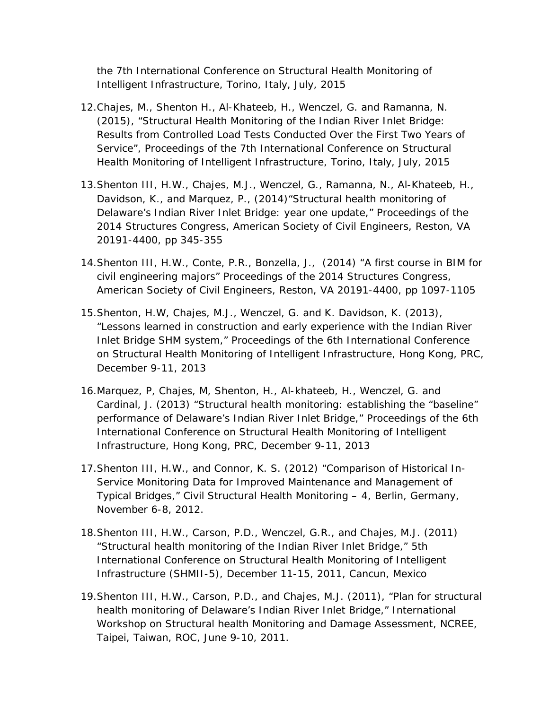the 7th International Conference on Structural Health Monitoring of Intelligent Infrastructure, Torino, Italy, July, 2015

- 12.Chajes, M., Shenton H., Al-Khateeb, H., Wenczel, G. and Ramanna, N. (2015), "Structural Health Monitoring of the Indian River Inlet Bridge: Results from Controlled Load Tests Conducted Over the First Two Years of Service", Proceedings of the 7th International Conference on Structural Health Monitoring of Intelligent Infrastructure, Torino, Italy, July, 2015
- 13.Shenton III, H.W., Chajes, M.J., Wenczel, G., Ramanna, N., Al-Khateeb, H., Davidson, K., and Marquez, P., (2014)"Structural health monitoring of Delaware's Indian River Inlet Bridge: year one update," Proceedings of the 2014 Structures Congress, American Society of Civil Engineers, Reston, VA 20191-4400, pp 345-355
- 14.Shenton III, H.W., Conte, P.R., Bonzella, J., (2014) "A first course in BIM for civil engineering majors" Proceedings of the 2014 Structures Congress, American Society of Civil Engineers, Reston, VA 20191-4400, pp 1097-1105
- 15.Shenton, H.W, Chajes, M.J., Wenczel, G. and K. Davidson, K. (2013), "Lessons learned in construction and early experience with the Indian River Inlet Bridge SHM system," Proceedings of the 6th International Conference on Structural Health Monitoring of Intelligent Infrastructure, Hong Kong, PRC, December 9-11, 2013
- 16.Marquez, P, Chajes, M, Shenton, H., Al-khateeb, H., Wenczel, G. and Cardinal, J. (2013) "Structural health monitoring: establishing the "baseline" performance of Delaware's Indian River Inlet Bridge," Proceedings of the 6th International Conference on Structural Health Monitoring of Intelligent Infrastructure, Hong Kong, PRC, December 9-11, 2013
- 17.Shenton III, H.W., and Connor, K. S. (2012) "Comparison of Historical In-Service Monitoring Data for Improved Maintenance and Management of Typical Bridges," Civil Structural Health Monitoring – 4, Berlin, Germany, November 6-8, 2012.
- 18.Shenton III, H.W., Carson, P.D., Wenczel, G.R., and Chajes, M.J. (2011) "Structural health monitoring of the Indian River Inlet Bridge," 5th International Conference on Structural Health Monitoring of Intelligent Infrastructure (SHMII-5), December 11-15, 2011, Cancun, Mexico
- 19.Shenton III, H.W., Carson, P.D., and Chajes, M.J. (2011), "Plan for structural health monitoring of Delaware's Indian River Inlet Bridge," International Workshop on Structural health Monitoring and Damage Assessment, NCREE, Taipei, Taiwan, ROC, June 9-10, 2011.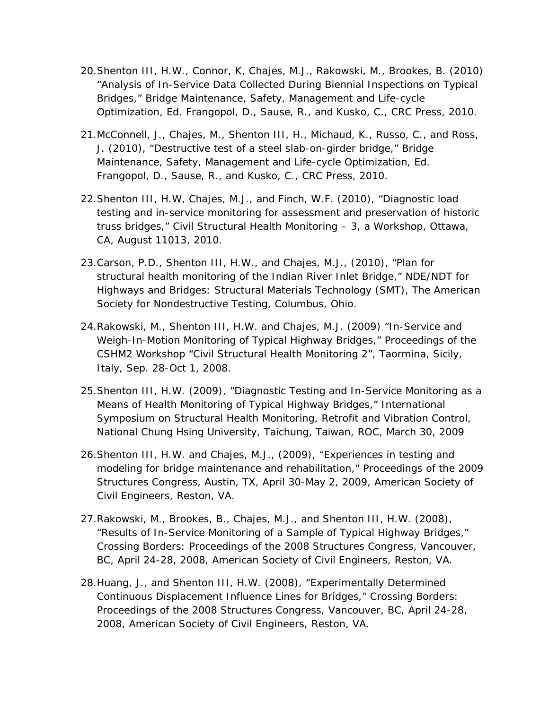- 20.Shenton III, H.W., Connor, K, Chajes, M.J., Rakowski, M., Brookes, B. (2010) "Analysis of In-Service Data Collected During Biennial Inspections on Typical Bridges," Bridge Maintenance, Safety, Management and Life-cycle Optimization, Ed. Frangopol, D., Sause, R., and Kusko, C., CRC Press, 2010.
- 21.McConnell, J., Chajes, M., Shenton III, H., Michaud, K., Russo, C., and Ross, J. (2010), "Destructive test of a steel slab-on-girder bridge," Bridge Maintenance, Safety, Management and Life-cycle Optimization, Ed. Frangopol, D., Sause, R., and Kusko, C., CRC Press, 2010.
- 22.Shenton III, H.W, Chajes, M.J., and Finch, W.F. (2010), "Diagnostic load testing and in-service monitoring for assessment and preservation of historic truss bridges," Civil Structural Health Monitoring – 3, a Workshop, Ottawa, CA, August 11013, 2010.
- 23.Carson, P.D., Shenton III, H.W., and Chajes, M.J., (2010), "Plan for structural health monitoring of the Indian River Inlet Bridge," NDE/NDT for Highways and Bridges: Structural Materials Technology (SMT), The American Society for Nondestructive Testing, Columbus, Ohio.
- 24.Rakowski, M., Shenton III, H.W. and Chajes, M.J. (2009) "In-Service and Weigh-In-Motion Monitoring of Typical Highway Bridges," Proceedings of the CSHM2 Workshop "Civil Structural Health Monitoring 2", Taormina, Sicily, Italy, Sep. 28-Oct 1, 2008.
- 25.Shenton III, H.W. (2009), "Diagnostic Testing and In-Service Monitoring as a Means of Health Monitoring of Typical Highway Bridges," International Symposium on Structural Health Monitoring, Retrofit and Vibration Control, National Chung Hsing University, Taichung, Taiwan, ROC, March 30, 2009
- 26.Shenton III, H.W. and Chajes, M.J., (2009), "Experiences in testing and modeling for bridge maintenance and rehabilitation," Proceedings of the 2009 Structures Congress, Austin, TX, April 30-May 2, 2009, American Society of Civil Engineers, Reston, VA.
- 27.Rakowski, M., Brookes, B., Chajes, M.J., and Shenton III, H.W. (2008), "Results of In-Service Monitoring of a Sample of Typical Highway Bridges," Crossing Borders: Proceedings of the 2008 Structures Congress, Vancouver, BC, April 24-28, 2008, American Society of Civil Engineers, Reston, VA.
- 28.Huang, J., and Shenton III, H.W. (2008), "Experimentally Determined Continuous Displacement Influence Lines for Bridges," Crossing Borders: Proceedings of the 2008 Structures Congress, Vancouver, BC, April 24-28, 2008, American Society of Civil Engineers, Reston, VA.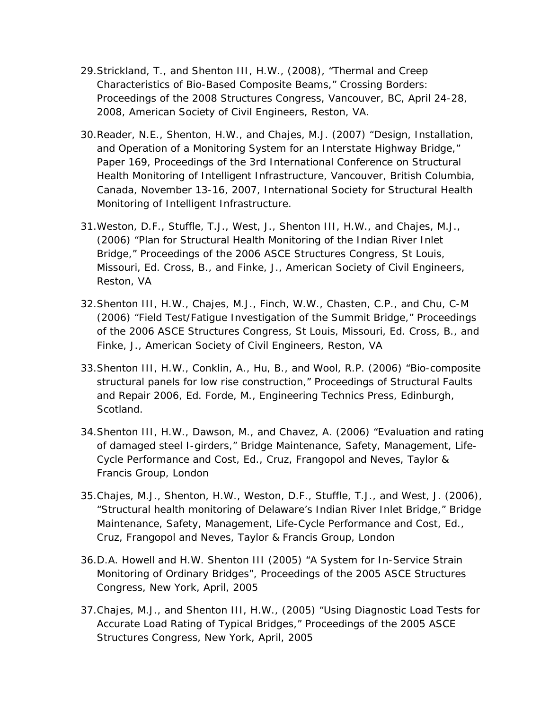- 29.Strickland, T., and Shenton III, H.W., (2008), "Thermal and Creep Characteristics of Bio-Based Composite Beams," Crossing Borders: Proceedings of the 2008 Structures Congress, Vancouver, BC, April 24-28, 2008, American Society of Civil Engineers, Reston, VA.
- 30.Reader, N.E., Shenton, H.W., and Chajes, M.J. (2007) "Design, Installation, and Operation of a Monitoring System for an Interstate Highway Bridge," Paper 169, Proceedings of the 3rd International Conference on Structural Health Monitoring of Intelligent Infrastructure, Vancouver, British Columbia, Canada, November 13-16, 2007, International Society for Structural Health Monitoring of Intelligent Infrastructure.
- 31.Weston, D.F., Stuffle, T.J., West, J., Shenton III, H.W., and Chajes, M.J., (2006) "Plan for Structural Health Monitoring of the Indian River Inlet Bridge," Proceedings of the 2006 ASCE Structures Congress, St Louis, Missouri, Ed. Cross, B., and Finke, J., American Society of Civil Engineers, Reston, VA
- 32.Shenton III, H.W., Chajes, M.J., Finch, W.W., Chasten, C.P., and Chu, C-M (2006) "Field Test/Fatigue Investigation of the Summit Bridge," Proceedings of the 2006 ASCE Structures Congress, St Louis, Missouri, Ed. Cross, B., and Finke, J., American Society of Civil Engineers, Reston, VA
- 33.Shenton III, H.W., Conklin, A., Hu, B., and Wool, R.P. (2006) "Bio-composite structural panels for low rise construction," Proceedings of Structural Faults and Repair 2006, Ed. Forde, M., Engineering Technics Press, Edinburgh, Scotland.
- 34.Shenton III, H.W., Dawson, M., and Chavez, A. (2006) "Evaluation and rating of damaged steel I-girders," Bridge Maintenance, Safety, Management, Life-Cycle Performance and Cost, Ed., Cruz, Frangopol and Neves, Taylor & Francis Group, London
- 35.Chajes, M.J., Shenton, H.W., Weston, D.F., Stuffle, T.J., and West, J. (2006), "Structural health monitoring of Delaware's Indian River Inlet Bridge," Bridge Maintenance, Safety, Management, Life-Cycle Performance and Cost, Ed., Cruz, Frangopol and Neves, Taylor & Francis Group, London
- 36.D.A. Howell and H.W. Shenton III (2005) "A System for In-Service Strain Monitoring of Ordinary Bridges", Proceedings of the 2005 ASCE Structures Congress, New York, April, 2005
- 37.Chajes, M.J., and Shenton III, H.W., (2005) "Using Diagnostic Load Tests for Accurate Load Rating of Typical Bridges," Proceedings of the 2005 ASCE Structures Congress, New York, April, 2005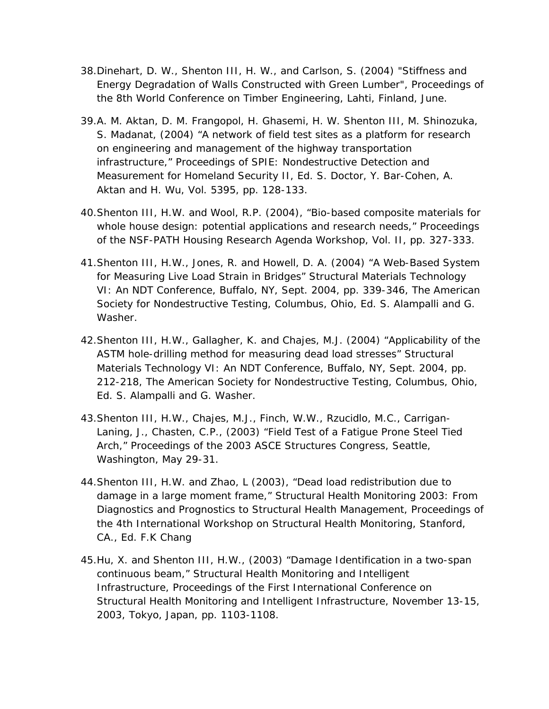- 38.Dinehart, D. W., Shenton III, H. W., and Carlson, S. (2004) "Stiffness and Energy Degradation of Walls Constructed with Green Lumber", Proceedings of the 8th World Conference on Timber Engineering, Lahti, Finland, June.
- 39.A. M. Aktan, D. M. Frangopol, H. Ghasemi, H. W. Shenton III, M. Shinozuka, S. Madanat, (2004) "A network of field test sites as a platform for research on engineering and management of the highway transportation infrastructure," Proceedings of SPIE: Nondestructive Detection and Measurement for Homeland Security II, Ed. S. Doctor, Y. Bar-Cohen, A. Aktan and H. Wu, Vol. 5395, pp. 128-133.
- 40.Shenton III, H.W. and Wool, R.P. (2004), "Bio-based composite materials for whole house design: potential applications and research needs," Proceedings of the NSF-PATH Housing Research Agenda Workshop, Vol. II, pp. 327-333.
- 41.Shenton III, H.W., Jones, R. and Howell, D. A. (2004) "A Web-Based System for Measuring Live Load Strain in Bridges" Structural Materials Technology VI: An NDT Conference, Buffalo, NY, Sept. 2004, pp. 339-346, The American Society for Nondestructive Testing, Columbus, Ohio, Ed. S. Alampalli and G. Washer.
- 42.Shenton III, H.W., Gallagher, K. and Chajes, M.J. (2004) "Applicability of the ASTM hole-drilling method for measuring dead load stresses" Structural Materials Technology VI: An NDT Conference, Buffalo, NY, Sept. 2004, pp. 212-218, The American Society for Nondestructive Testing, Columbus, Ohio, Ed. S. Alampalli and G. Washer.
- 43.Shenton III, H.W., Chajes, M.J., Finch, W.W., Rzucidlo, M.C., Carrigan-Laning, J., Chasten, C.P., (2003) "Field Test of a Fatigue Prone Steel Tied Arch," Proceedings of the 2003 ASCE Structures Congress, Seattle, Washington, May 29-31.
- 44.Shenton III, H.W. and Zhao, L (2003), "Dead load redistribution due to damage in a large moment frame," Structural Health Monitoring 2003: From Diagnostics and Prognostics to Structural Health Management, Proceedings of the 4th International Workshop on Structural Health Monitoring, Stanford, CA., Ed. F.K Chang
- 45.Hu, X. and Shenton III, H.W., (2003) "Damage Identification in a two-span continuous beam," Structural Health Monitoring and Intelligent Infrastructure, Proceedings of the First International Conference on Structural Health Monitoring and Intelligent Infrastructure, November 13-15, 2003, Tokyo, Japan, pp. 1103-1108.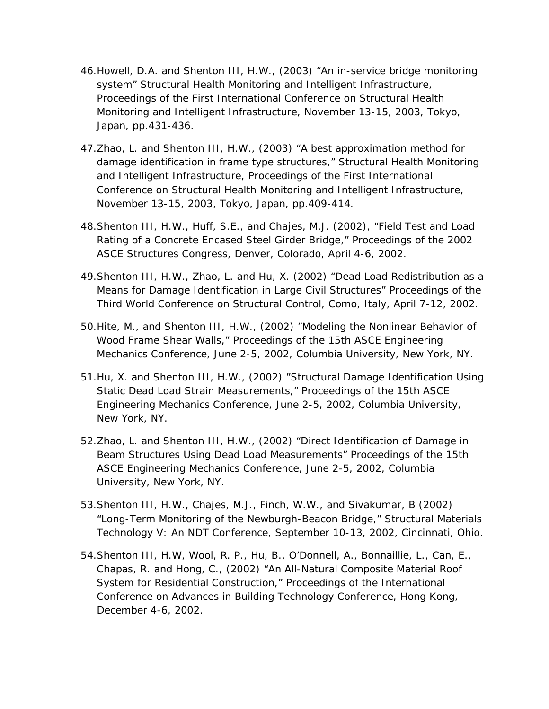- 46.Howell, D.A. and Shenton III, H.W., (2003) "An in-service bridge monitoring system" Structural Health Monitoring and Intelligent Infrastructure, Proceedings of the First International Conference on Structural Health Monitoring and Intelligent Infrastructure, November 13-15, 2003, Tokyo, Japan, pp.431-436.
- 47.Zhao, L. and Shenton III, H.W., (2003) "A best approximation method for damage identification in frame type structures," Structural Health Monitoring and Intelligent Infrastructure, Proceedings of the First International Conference on Structural Health Monitoring and Intelligent Infrastructure, November 13-15, 2003, Tokyo, Japan, pp.409-414.
- 48.Shenton III, H.W., Huff, S.E., and Chajes, M.J. (2002), "Field Test and Load Rating of a Concrete Encased Steel Girder Bridge," Proceedings of the 2002 ASCE Structures Congress, Denver, Colorado, April 4-6, 2002.
- 49.Shenton III, H.W., Zhao, L. and Hu, X. (2002) "Dead Load Redistribution as a Means for Damage Identification in Large Civil Structures" Proceedings of the Third World Conference on Structural Control, Como, Italy, April 7-12, 2002.
- 50.Hite, M., and Shenton III, H.W., (2002) "Modeling the Nonlinear Behavior of Wood Frame Shear Walls," Proceedings of the 15th ASCE Engineering Mechanics Conference, June 2-5, 2002, Columbia University, New York, NY.
- 51.Hu, X. and Shenton III, H.W., (2002) "Structural Damage Identification Using Static Dead Load Strain Measurements," Proceedings of the 15th ASCE Engineering Mechanics Conference, June 2-5, 2002, Columbia University, New York, NY.
- 52.Zhao, L. and Shenton III, H.W., (2002) "Direct Identification of Damage in Beam Structures Using Dead Load Measurements" Proceedings of the 15th ASCE Engineering Mechanics Conference, June 2-5, 2002, Columbia University, New York, NY.
- 53.Shenton III, H.W., Chajes, M.J., Finch, W.W., and Sivakumar, B (2002) "Long-Term Monitoring of the Newburgh-Beacon Bridge," Structural Materials Technology V: An NDT Conference, September 10-13, 2002, Cincinnati, Ohio.
- 54.Shenton III, H.W, Wool, R. P., Hu, B., O'Donnell, A., Bonnaillie, L., Can, E., Chapas, R. and Hong, C., (2002) "An All-Natural Composite Material Roof System for Residential Construction," Proceedings of the International Conference on Advances in Building Technology Conference, Hong Kong, December 4-6, 2002.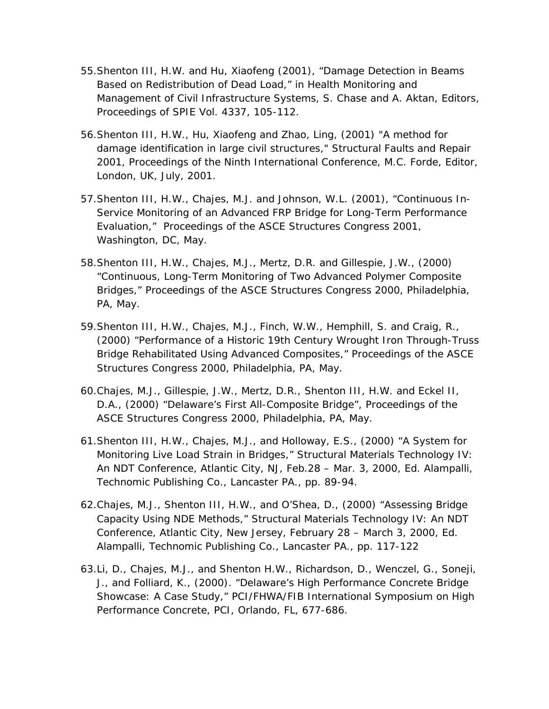- 55.Shenton III, H.W. and Hu, Xiaofeng (2001), "Damage Detection in Beams Based on Redistribution of Dead Load," in Health Monitoring and Management of Civil Infrastructure Systems, S. Chase and A. Aktan, Editors, Proceedings of SPIE Vol. 4337, 105-112.
- 56.Shenton III, H.W., Hu, Xiaofeng and Zhao, Ling, (2001) "A method for damage identification in large civil structures," Structural Faults and Repair 2001, Proceedings of the Ninth International Conference, M.C. Forde, Editor, London, UK, July, 2001.
- 57.Shenton III, H.W., Chajes, M.J. and Johnson, W.L. (2001), "Continuous In-Service Monitoring of an Advanced FRP Bridge for Long-Term Performance Evaluation," Proceedings of the ASCE Structures Congress 2001, Washington, DC, May.
- 58.Shenton III, H.W., Chajes, M.J., Mertz, D.R. and Gillespie, J.W., (2000) "Continuous, Long-Term Monitoring of Two Advanced Polymer Composite Bridges," Proceedings of the ASCE Structures Congress 2000, Philadelphia, PA, May.
- 59.Shenton III, H.W., Chajes, M.J., Finch, W.W., Hemphill, S. and Craig, R., (2000) "Performance of a Historic 19th Century Wrought Iron Through-Truss Bridge Rehabilitated Using Advanced Composites," Proceedings of the ASCE Structures Congress 2000, Philadelphia, PA, May.
- 60.Chajes, M.J., Gillespie, J.W., Mertz, D.R., Shenton III, H.W. and Eckel II, D.A., (2000) "Delaware's First All-Composite Bridge", Proceedings of the ASCE Structures Congress 2000, Philadelphia, PA, May.
- 61.Shenton III, H.W., Chajes, M.J., and Holloway, E.S., (2000) "A System for Monitoring Live Load Strain in Bridges," Structural Materials Technology IV: An NDT Conference, Atlantic City, NJ, Feb.28 – Mar. 3, 2000, Ed. Alampalli, Technomic Publishing Co., Lancaster PA., pp. 89-94.
- 62.Chajes, M.J., Shenton III, H.W., and O'Shea, D., (2000) "Assessing Bridge Capacity Using NDE Methods," Structural Materials Technology IV: An NDT Conference, Atlantic City, New Jersey, February 28 – March 3, 2000, Ed. Alampalli, Technomic Publishing Co., Lancaster PA., pp. 117-122
- 63.Li, D., Chajes, M.J., and Shenton H.W., Richardson, D., Wenczel, G., Soneji, J., and Folliard, K., (2000). "Delaware's High Performance Concrete Bridge Showcase: A Case Study," PCI/FHWA/FIB International Symposium on High Performance Concrete, PCI, Orlando, FL, 677-686.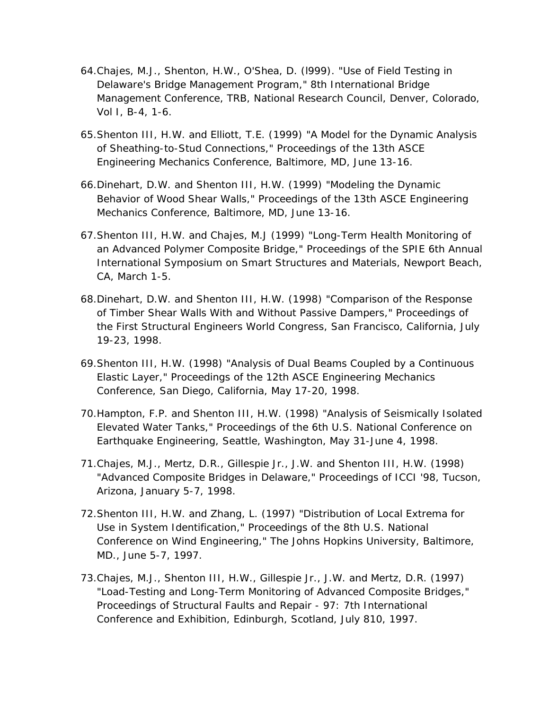- 64.Chajes, M.J., Shenton, H.W., O'Shea, D. (l999). "Use of Field Testing in Delaware's Bridge Management Program," 8th International Bridge Management Conference, TRB, National Research Council, Denver, Colorado, Vol I, B-4, 1-6.
- 65.Shenton III, H.W. and Elliott, T.E. (1999) "A Model for the Dynamic Analysis of Sheathing-to-Stud Connections," Proceedings of the 13th ASCE Engineering Mechanics Conference, Baltimore, MD, June 13-16.
- 66.Dinehart, D.W. and Shenton III, H.W. (1999) "Modeling the Dynamic Behavior of Wood Shear Walls," Proceedings of the 13th ASCE Engineering Mechanics Conference, Baltimore, MD, June 13-16.
- 67.Shenton III, H.W. and Chajes, M.J (1999) "Long-Term Health Monitoring of an Advanced Polymer Composite Bridge," Proceedings of the SPIE 6th Annual International Symposium on Smart Structures and Materials, Newport Beach, CA, March 1-5.
- 68.Dinehart, D.W. and Shenton III, H.W. (1998) "Comparison of the Response of Timber Shear Walls With and Without Passive Dampers," Proceedings of the First Structural Engineers World Congress, San Francisco, California, July 19-23, 1998.
- 69.Shenton III, H.W. (1998) "Analysis of Dual Beams Coupled by a Continuous Elastic Layer," Proceedings of the 12th ASCE Engineering Mechanics Conference, San Diego, California, May 17-20, 1998.
- 70.Hampton, F.P. and Shenton III, H.W. (1998) "Analysis of Seismically Isolated Elevated Water Tanks," Proceedings of the 6th U.S. National Conference on Earthquake Engineering, Seattle, Washington, May 31-June 4, 1998.
- 71.Chajes, M.J., Mertz, D.R., Gillespie Jr., J.W. and Shenton III, H.W. (1998) "Advanced Composite Bridges in Delaware," Proceedings of ICCI '98, Tucson, Arizona, January 5-7, 1998.
- 72.Shenton III, H.W. and Zhang, L. (1997) "Distribution of Local Extrema for Use in System Identification," Proceedings of the 8th U.S. National Conference on Wind Engineering," The Johns Hopkins University, Baltimore, MD., June 5-7, 1997.
- 73.Chajes, M.J., Shenton III, H.W., Gillespie Jr., J.W. and Mertz, D.R. (1997) "Load-Testing and Long-Term Monitoring of Advanced Composite Bridges," Proceedings of Structural Faults and Repair - 97: 7th International Conference and Exhibition, Edinburgh, Scotland, July 810, 1997.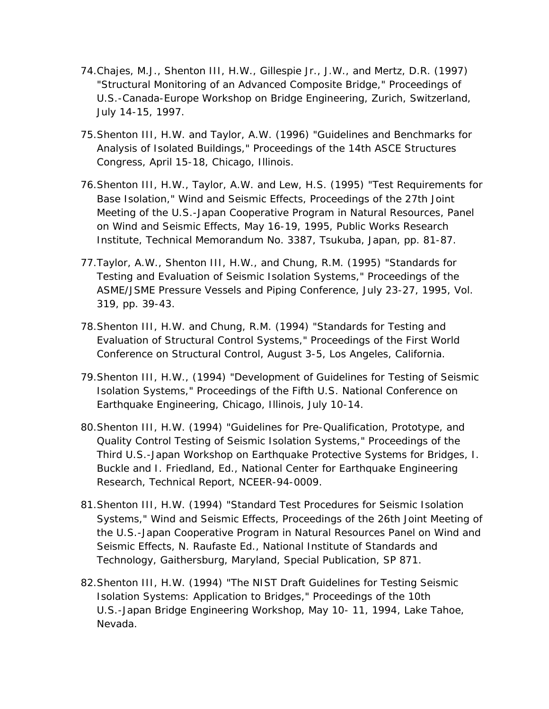- 74.Chajes, M.J., Shenton III, H.W., Gillespie Jr., J.W., and Mertz, D.R. (1997) "Structural Monitoring of an Advanced Composite Bridge," Proceedings of U.S.-Canada-Europe Workshop on Bridge Engineering, Zurich, Switzerland, July 14-15, 1997.
- 75.Shenton III, H.W. and Taylor, A.W. (1996) "Guidelines and Benchmarks for Analysis of Isolated Buildings," Proceedings of the 14th ASCE Structures Congress, April 15-18, Chicago, Illinois.
- 76.Shenton III, H.W., Taylor, A.W. and Lew, H.S. (1995) "Test Requirements for Base Isolation," Wind and Seismic Effects, Proceedings of the 27th Joint Meeting of the U.S.-Japan Cooperative Program in Natural Resources, Panel on Wind and Seismic Effects, May 16-19, 1995, Public Works Research Institute, Technical Memorandum No. 3387, Tsukuba, Japan, pp. 81-87.
- 77.Taylor, A.W., Shenton III, H.W., and Chung, R.M. (1995) "Standards for Testing and Evaluation of Seismic Isolation Systems," Proceedings of the ASME/JSME Pressure Vessels and Piping Conference, July 23-27, 1995, Vol. 319, pp. 39-43.
- 78.Shenton III, H.W. and Chung, R.M. (1994) "Standards for Testing and Evaluation of Structural Control Systems," Proceedings of the First World Conference on Structural Control, August 3-5, Los Angeles, California.
- 79.Shenton III, H.W., (1994) "Development of Guidelines for Testing of Seismic Isolation Systems," Proceedings of the Fifth U.S. National Conference on Earthquake Engineering, Chicago, Illinois, July 10-14.
- 80.Shenton III, H.W. (1994) "Guidelines for Pre-Qualification, Prototype, and Quality Control Testing of Seismic Isolation Systems," Proceedings of the Third U.S.-Japan Workshop on Earthquake Protective Systems for Bridges, I. Buckle and I. Friedland, Ed., National Center for Earthquake Engineering Research, Technical Report, NCEER-94-0009.
- 81.Shenton III, H.W. (1994) "Standard Test Procedures for Seismic Isolation Systems," Wind and Seismic Effects, Proceedings of the 26th Joint Meeting of the U.S.-Japan Cooperative Program in Natural Resources Panel on Wind and Seismic Effects, N. Raufaste Ed., National Institute of Standards and Technology, Gaithersburg, Maryland, Special Publication, SP 871.
- 82.Shenton III, H.W. (1994) "The NIST Draft Guidelines for Testing Seismic Isolation Systems: Application to Bridges," Proceedings of the 10th U.S.-Japan Bridge Engineering Workshop, May 10- 11, 1994, Lake Tahoe, Nevada.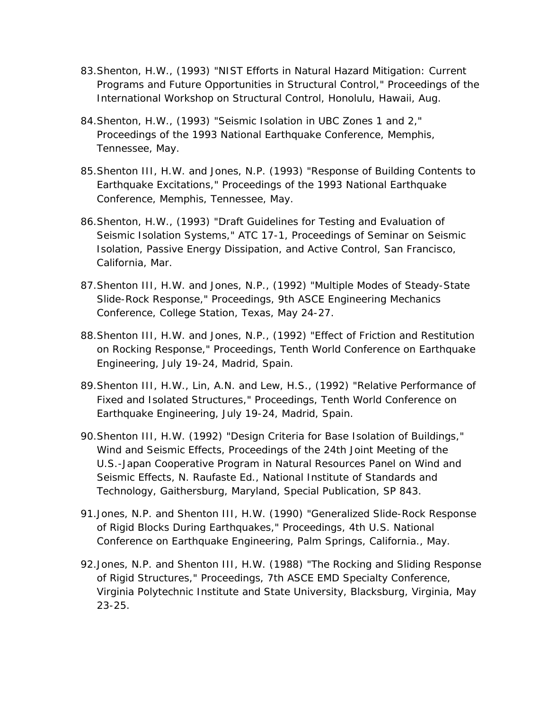- 83.Shenton, H.W., (1993) "NIST Efforts in Natural Hazard Mitigation: Current Programs and Future Opportunities in Structural Control," Proceedings of the International Workshop on Structural Control, Honolulu, Hawaii, Aug.
- 84.Shenton, H.W., (1993) "Seismic Isolation in UBC Zones 1 and 2," Proceedings of the 1993 National Earthquake Conference, Memphis, Tennessee, May.
- 85.Shenton III, H.W. and Jones, N.P. (1993) "Response of Building Contents to Earthquake Excitations," Proceedings of the 1993 National Earthquake Conference, Memphis, Tennessee, May.
- 86.Shenton, H.W., (1993) "Draft Guidelines for Testing and Evaluation of Seismic Isolation Systems," ATC 17-1, Proceedings of Seminar on Seismic Isolation, Passive Energy Dissipation, and Active Control, San Francisco, California, Mar.
- 87.Shenton III, H.W. and Jones, N.P., (1992) "Multiple Modes of Steady-State Slide-Rock Response," Proceedings, 9th ASCE Engineering Mechanics Conference, College Station, Texas, May 24-27.
- 88.Shenton III, H.W. and Jones, N.P., (1992) "Effect of Friction and Restitution on Rocking Response," Proceedings, Tenth World Conference on Earthquake Engineering, July 19-24, Madrid, Spain.
- 89.Shenton III, H.W., Lin, A.N. and Lew, H.S., (1992) "Relative Performance of Fixed and Isolated Structures," Proceedings, Tenth World Conference on Earthquake Engineering, July 19-24, Madrid, Spain.
- 90.Shenton III, H.W. (1992) "Design Criteria for Base Isolation of Buildings," Wind and Seismic Effects, Proceedings of the 24th Joint Meeting of the U.S.-Japan Cooperative Program in Natural Resources Panel on Wind and Seismic Effects, N. Raufaste Ed., National Institute of Standards and Technology, Gaithersburg, Maryland, Special Publication, SP 843.
- 91.Jones, N.P. and Shenton III, H.W. (1990) "Generalized Slide-Rock Response of Rigid Blocks During Earthquakes," Proceedings, 4th U.S. National Conference on Earthquake Engineering, Palm Springs, California., May.
- 92.Jones, N.P. and Shenton III, H.W. (1988) "The Rocking and Sliding Response of Rigid Structures," Proceedings, 7th ASCE EMD Specialty Conference, Virginia Polytechnic Institute and State University, Blacksburg, Virginia, May 23-25.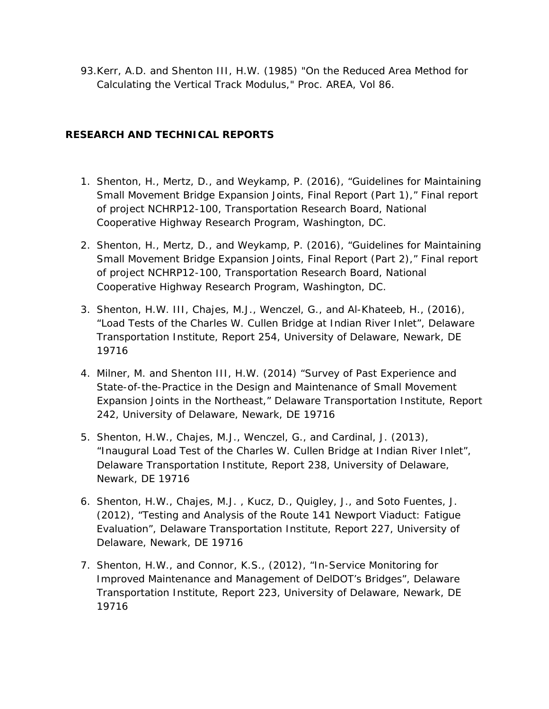93.Kerr, A.D. and Shenton III, H.W. (1985) "On the Reduced Area Method for Calculating the Vertical Track Modulus," Proc. AREA, Vol 86.

# **RESEARCH AND TECHNICAL REPORTS**

- 1. Shenton, H., Mertz, D., and Weykamp, P. (2016), "Guidelines for Maintaining Small Movement Bridge Expansion Joints, Final Report (Part 1)," Final report of project NCHRP12-100, Transportation Research Board, National Cooperative Highway Research Program, Washington, DC.
- 2. Shenton, H., Mertz, D., and Weykamp, P. (2016), "Guidelines for Maintaining Small Movement Bridge Expansion Joints, Final Report (Part 2)," Final report of project NCHRP12-100, Transportation Research Board, National Cooperative Highway Research Program, Washington, DC.
- 3. Shenton, H.W. III, Chajes, M.J., Wenczel, G., and Al-Khateeb, H., (2016), "Load Tests of the Charles W. Cullen Bridge at Indian River Inlet", Delaware Transportation Institute, Report 254, University of Delaware, Newark, DE 19716
- 4. Milner, M. and Shenton III, H.W. (2014) "Survey of Past Experience and State-of-the-Practice in the Design and Maintenance of Small Movement Expansion Joints in the Northeast," Delaware Transportation Institute, Report 242, University of Delaware, Newark, DE 19716
- 5. Shenton, H.W., Chajes, M.J., Wenczel, G., and Cardinal, J. (2013), "Inaugural Load Test of the Charles W. Cullen Bridge at Indian River Inlet", Delaware Transportation Institute, Report 238, University of Delaware, Newark, DE 19716
- 6. Shenton, H.W., Chajes, M.J. , Kucz, D., Quigley, J., and Soto Fuentes, J. (2012), "Testing and Analysis of the Route 141 Newport Viaduct: Fatigue Evaluation", Delaware Transportation Institute, Report 227, University of Delaware, Newark, DE 19716
- 7. Shenton, H.W., and Connor, K.S., (2012), "In-Service Monitoring for Improved Maintenance and Management of DelDOT's Bridges", Delaware Transportation Institute, Report 223, University of Delaware, Newark, DE 19716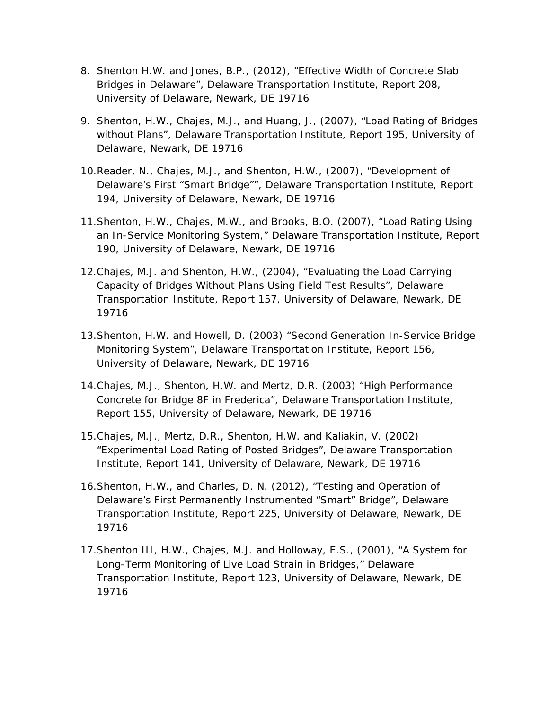- 8. Shenton H.W. and Jones, B.P., (2012), "Effective Width of Concrete Slab Bridges in Delaware", Delaware Transportation Institute, Report 208, University of Delaware, Newark, DE 19716
- 9. Shenton, H.W., Chajes, M.J., and Huang, J., (2007), "Load Rating of Bridges without Plans", Delaware Transportation Institute, Report 195, University of Delaware, Newark, DE 19716
- 10.Reader, N., Chajes, M.J., and Shenton, H.W., (2007), "Development of Delaware's First "Smart Bridge"", Delaware Transportation Institute, Report 194, University of Delaware, Newark, DE 19716
- 11.Shenton, H.W., Chajes, M.W., and Brooks, B.O. (2007), "Load Rating Using an In-Service Monitoring System," Delaware Transportation Institute, Report 190, University of Delaware, Newark, DE 19716
- 12.Chajes, M.J. and Shenton, H.W., (2004), "Evaluating the Load Carrying Capacity of Bridges Without Plans Using Field Test Results", Delaware Transportation Institute, Report 157, University of Delaware, Newark, DE 19716
- 13.Shenton, H.W. and Howell, D. (2003) "Second Generation In-Service Bridge Monitoring System", Delaware Transportation Institute, Report 156, University of Delaware, Newark, DE 19716
- 14.Chajes, M.J., Shenton, H.W. and Mertz, D.R. (2003) "High Performance Concrete for Bridge 8F in Frederica", Delaware Transportation Institute, Report 155, University of Delaware, Newark, DE 19716
- 15.Chajes, M.J., Mertz, D.R., Shenton, H.W. and Kaliakin, V. (2002) "Experimental Load Rating of Posted Bridges", Delaware Transportation Institute, Report 141, University of Delaware, Newark, DE 19716
- 16.Shenton, H.W., and Charles, D. N. (2012), "Testing and Operation of Delaware's First Permanently Instrumented "Smart" Bridge", Delaware Transportation Institute, Report 225, University of Delaware, Newark, DE 19716
- 17.Shenton III, H.W., Chajes, M.J. and Holloway, E.S., (2001), "A System for Long-Term Monitoring of Live Load Strain in Bridges," Delaware Transportation Institute, Report 123, University of Delaware, Newark, DE 19716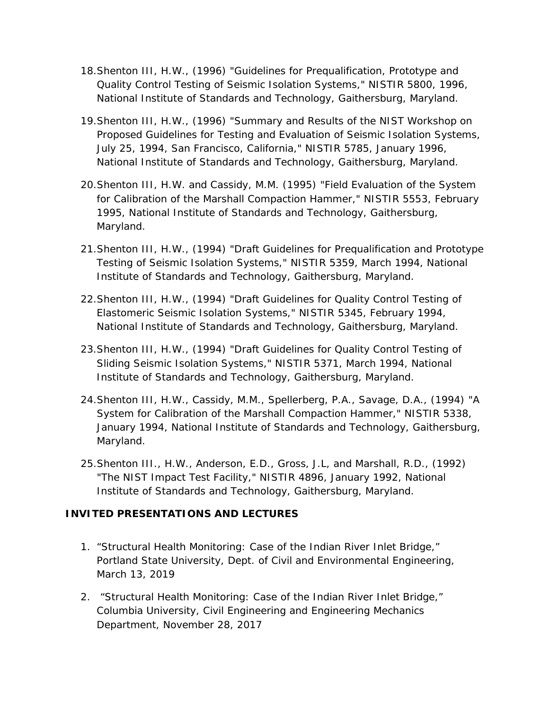- 18.Shenton III, H.W., (1996) "Guidelines for Prequalification, Prototype and Quality Control Testing of Seismic Isolation Systems," NISTIR 5800, 1996, National Institute of Standards and Technology, Gaithersburg, Maryland.
- 19.Shenton III, H.W., (1996) "Summary and Results of the NIST Workshop on Proposed Guidelines for Testing and Evaluation of Seismic Isolation Systems, July 25, 1994, San Francisco, California," NISTIR 5785, January 1996, National Institute of Standards and Technology, Gaithersburg, Maryland.
- 20.Shenton III, H.W. and Cassidy, M.M. (1995) "Field Evaluation of the System for Calibration of the Marshall Compaction Hammer," NISTIR 5553, February 1995, National Institute of Standards and Technology, Gaithersburg, Maryland.
- 21.Shenton III, H.W., (1994) "Draft Guidelines for Prequalification and Prototype Testing of Seismic Isolation Systems," NISTIR 5359, March 1994, National Institute of Standards and Technology, Gaithersburg, Maryland.
- 22.Shenton III, H.W., (1994) "Draft Guidelines for Quality Control Testing of Elastomeric Seismic Isolation Systems," NISTIR 5345, February 1994, National Institute of Standards and Technology, Gaithersburg, Maryland.
- 23.Shenton III, H.W., (1994) "Draft Guidelines for Quality Control Testing of Sliding Seismic Isolation Systems," NISTIR 5371, March 1994, National Institute of Standards and Technology, Gaithersburg, Maryland.
- 24.Shenton III, H.W., Cassidy, M.M., Spellerberg, P.A., Savage, D.A., (1994) "A System for Calibration of the Marshall Compaction Hammer," NISTIR 5338, January 1994, National Institute of Standards and Technology, Gaithersburg, Maryland.
- 25.Shenton III., H.W., Anderson, E.D., Gross, J.L, and Marshall, R.D., (1992) "The NIST Impact Test Facility," NISTIR 4896, January 1992, National Institute of Standards and Technology, Gaithersburg, Maryland.

# **INVITED PRESENTATIONS AND LECTURES**

- 1. "Structural Health Monitoring: Case of the Indian River Inlet Bridge," Portland State University, Dept. of Civil and Environmental Engineering, March 13, 2019
- 2. "Structural Health Monitoring: Case of the Indian River Inlet Bridge," Columbia University, Civil Engineering and Engineering Mechanics Department, November 28, 2017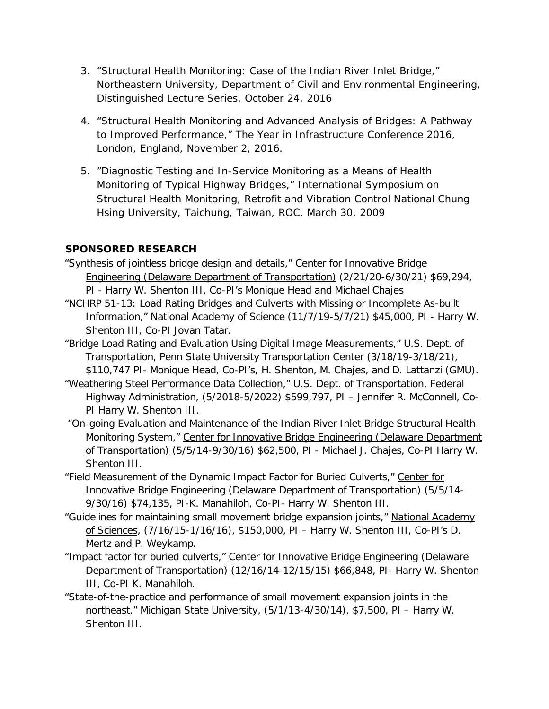- 3. "Structural Health Monitoring: Case of the Indian River Inlet Bridge," Northeastern University, Department of Civil and Environmental Engineering, Distinguished Lecture Series, October 24, 2016
- 4. "Structural Health Monitoring and Advanced Analysis of Bridges: A Pathway to Improved Performance," The Year in Infrastructure Conference 2016, London, England, November 2, 2016.
- 5. "Diagnostic Testing and In-Service Monitoring as a Means of Health Monitoring of Typical Highway Bridges," International Symposium on Structural Health Monitoring, Retrofit and Vibration Control National Chung Hsing University, Taichung, Taiwan, ROC, March 30, 2009

# **SPONSORED RESEARCH**

- "Synthesis of jointless bridge design and details," Center for Innovative Bridge Engineering (Delaware Department of Transportation) (2/21/20-6/30/21) \$69,294,
- PI Harry W. Shenton III, Co-PI's Monique Head and Michael Chajes "NCHRP 51-13: Load Rating Bridges and Culverts with Missing or Incomplete As-built Information," National Academy of Science (11/7/19-5/7/21) \$45,000, PI - Harry W. Shenton III, Co-PI Jovan Tatar.
- "Bridge Load Rating and Evaluation Using Digital Image Measurements," U.S. Dept. of Transportation, Penn State University Transportation Center (3/18/19-3/18/21), \$110,747 PI- Monique Head, Co-PI's, H. Shenton, M. Chajes, and D. Lattanzi (GMU).
- "Weathering Steel Performance Data Collection," U.S. Dept. of Transportation, Federal Highway Administration, (5/2018-5/2022) \$599,797, PI – Jennifer R. McConnell, Co-PI Harry W. Shenton III.
- "On-going Evaluation and Maintenance of the Indian River Inlet Bridge Structural Health Monitoring System," Center for Innovative Bridge Engineering (Delaware Department of Transportation) (5/5/14-9/30/16) \$62,500, PI - Michael J. Chajes, Co-PI Harry W. Shenton III.
- "Field Measurement of the Dynamic Impact Factor for Buried Culverts," Center for Innovative Bridge Engineering (Delaware Department of Transportation) (5/5/14- 9/30/16) \$74,135, PI-K. Manahiloh, Co-PI- Harry W. Shenton III.
- "Guidelines for maintaining small movement bridge expansion joints," National Academy of Sciences, (7/16/15-1/16/16), \$150,000, PI – Harry W. Shenton III, Co-PI's D. Mertz and P. Weykamp.
- "Impact factor for buried culverts," Center for Innovative Bridge Engineering (Delaware Department of Transportation) (12/16/14-12/15/15) \$66,848, PI- Harry W. Shenton III, Co-PI K. Manahiloh.
- "State-of-the-practice and performance of small movement expansion joints in the northeast," Michigan State University, (5/1/13-4/30/14), \$7,500, PI – Harry W. Shenton III.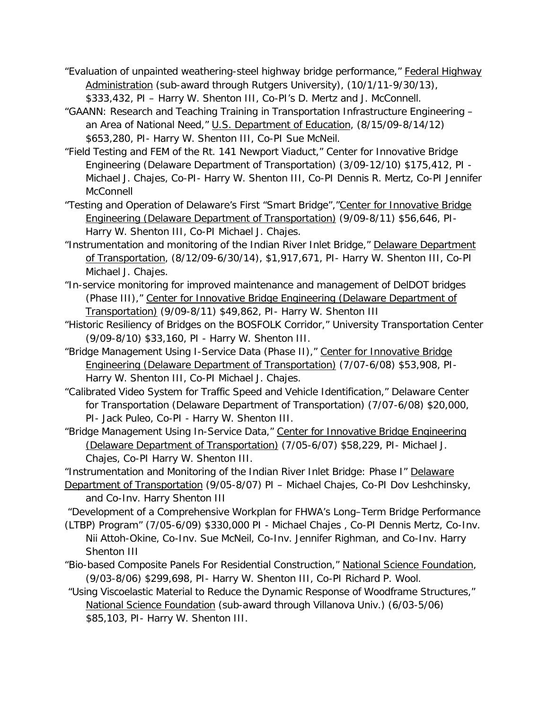- "Evaluation of unpainted weathering-steel highway bridge performance," Federal Highway Administration (sub-award through Rutgers University), (10/1/11-9/30/13), \$333,432, PI – Harry W. Shenton III, Co-PI's D. Mertz and J. McConnell.
- "GAANN: Research and Teaching Training in Transportation Infrastructure Engineering an Area of National Need," U.S. Department of Education, (8/15/09-8/14/12) \$653,280, PI- Harry W. Shenton III, Co-PI Sue McNeil.
- "Field Testing and FEM of the Rt. 141 Newport Viaduct," Center for Innovative Bridge Engineering (Delaware Department of Transportation) (3/09-12/10) \$175,412, PI - Michael J. Chajes, Co-PI- Harry W. Shenton III, Co-PI Dennis R. Mertz, Co-PI Jennifer **McConnell**
- "Testing and Operation of Delaware's First "Smart Bridge","Center for Innovative Bridge Engineering (Delaware Department of Transportation) (9/09-8/11) \$56,646, PI-Harry W. Shenton III, Co-PI Michael J. Chajes.
- "Instrumentation and monitoring of the Indian River Inlet Bridge," Delaware Department of Transportation, (8/12/09-6/30/14), \$1,917,671, PI- Harry W. Shenton III, Co-PI Michael J. Chajes.
- "In-service monitoring for improved maintenance and management of DelDOT bridges (Phase III)," Center for Innovative Bridge Engineering (Delaware Department of Transportation) (9/09-8/11) \$49,862, PI- Harry W. Shenton III
- "Historic Resiliency of Bridges on the BOSFOLK Corridor," University Transportation Center (9/09-8/10) \$33,160, PI - Harry W. Shenton III.
- "Bridge Management Using I-Service Data (Phase II)," Center for Innovative Bridge Engineering (Delaware Department of Transportation) (7/07-6/08) \$53,908, PI-Harry W. Shenton III, Co-PI Michael J. Chajes.
- "Calibrated Video System for Traffic Speed and Vehicle Identification," Delaware Center for Transportation (Delaware Department of Transportation) (7/07-6/08) \$20,000, PI- Jack Puleo, Co-PI - Harry W. Shenton III.
- "Bridge Management Using In-Service Data," Center for Innovative Bridge Engineering (Delaware Department of Transportation) (7/05-6/07) \$58,229, PI- Michael J. Chajes, Co-PI Harry W. Shenton III.
- "Instrumentation and Monitoring of the Indian River Inlet Bridge: Phase I" Delaware
- Department of Transportation (9/05-8/07) PI Michael Chajes, Co-PI Dov Leshchinsky, and Co-Inv. Harry Shenton III

"Development of a Comprehensive Workplan for FHWA's Long–Term Bridge Performance (LTBP) Program" (7/05-6/09) \$330,000 PI - Michael Chajes , Co-PI Dennis Mertz, Co-Inv.

- Nii Attoh-Okine, Co-Inv. Sue McNeil, Co-Inv. Jennifer Righman, and Co-Inv. Harry Shenton III
- "Bio-based Composite Panels For Residential Construction," National Science Foundation, (9/03-8/06) \$299,698, PI- Harry W. Shenton III, Co-PI Richard P. Wool.
- "Using Viscoelastic Material to Reduce the Dynamic Response of Woodframe Structures," National Science Foundation (sub-award through Villanova Univ.) (6/03-5/06) \$85,103, PI- Harry W. Shenton III.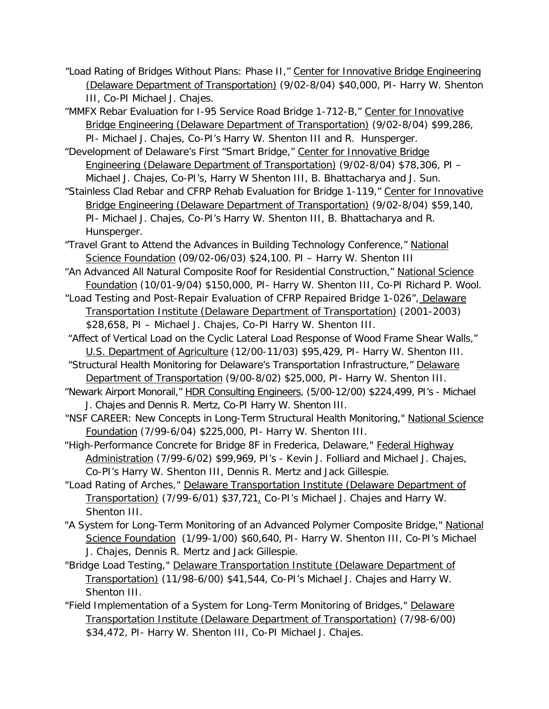- "Load Rating of Bridges Without Plans: Phase II," Center for Innovative Bridge Engineering (Delaware Department of Transportation) (9/02-8/04) \$40,000, PI- Harry W. Shenton III, Co-PI Michael J. Chajes.
- "MMFX Rebar Evaluation for I-95 Service Road Bridge 1-712-B," Center for Innovative Bridge Engineering (Delaware Department of Transportation) (9/02-8/04) \$99,286, PI- Michael J. Chajes, Co-PI's Harry W. Shenton III and R. Hunsperger.

"Development of Delaware's First "Smart Bridge," Center for Innovative Bridge Engineering (Delaware Department of Transportation) (9/02-8/04) \$78,306, PI – Michael J. Chajes, Co-PI's, Harry W Shenton III, B. Bhattacharya and J. Sun.

- "Stainless Clad Rebar and CFRP Rehab Evaluation for Bridge 1-119," Center for Innovative Bridge Engineering (Delaware Department of Transportation) (9/02-8/04) \$59,140, PI- Michael J. Chajes, Co-PI's Harry W. Shenton III, B. Bhattacharya and R. Hunsperger.
- "Travel Grant to Attend the Advances in Building Technology Conference," National Science Foundation (09/02-06/03) \$24,100. PI – Harry W. Shenton III
- "An Advanced All Natural Composite Roof for Residential Construction," National Science Foundation (10/01-9/04) \$150,000, PI- Harry W. Shenton III, Co-PI Richard P. Wool.
- "Load Testing and Post-Repair Evaluation of CFRP Repaired Bridge 1-026", Delaware Transportation Institute (Delaware Department of Transportation) (2001-2003) \$28,658, PI – Michael J. Chajes, Co-PI Harry W. Shenton III.
- "Affect of Vertical Load on the Cyclic Lateral Load Response of Wood Frame Shear Walls," U.S. Department of Agriculture (12/00-11/03) \$95,429, PI- Harry W. Shenton III.
- "Structural Health Monitoring for Delaware's Transportation Infrastructure," Delaware Department of Transportation (9/00-8/02) \$25,000, PI- Harry W. Shenton III.
- "Newark Airport Monorail," HDR Consulting Engineers, (5/00-12/00) \$224,499, PI's Michael J. Chajes and Dennis R. Mertz, Co-PI Harry W. Shenton III.
- "NSF CAREER: New Concepts in Long-Term Structural Health Monitoring," National Science Foundation (7/99-6/04) \$225,000, PI- Harry W. Shenton III.
- "High-Performance Concrete for Bridge 8F in Frederica, Delaware," Federal Highway Administration (7/99-6/02) \$99,969, PI's - Kevin J. Folliard and Michael J. Chajes, Co-PI's Harry W. Shenton III, Dennis R. Mertz and Jack Gillespie.
- "Load Rating of Arches," Delaware Transportation Institute (Delaware Department of Transportation) (7/99-6/01) \$37,721, Co-PI's Michael J. Chajes and Harry W. Shenton III.
- "A System for Long-Term Monitoring of an Advanced Polymer Composite Bridge," National Science Foundation (1/99-1/00) \$60,640, PI- Harry W. Shenton III, Co-PI's Michael J. Chajes, Dennis R. Mertz and Jack Gillespie.
- "Bridge Load Testing," Delaware Transportation Institute (Delaware Department of Transportation) (11/98-6/00) \$41,544, Co-PI's Michael J. Chajes and Harry W. Shenton III.
- "Field Implementation of a System for Long-Term Monitoring of Bridges," Delaware Transportation Institute (Delaware Department of Transportation) (7/98-6/00) \$34,472, PI- Harry W. Shenton III, Co-PI Michael J. Chajes.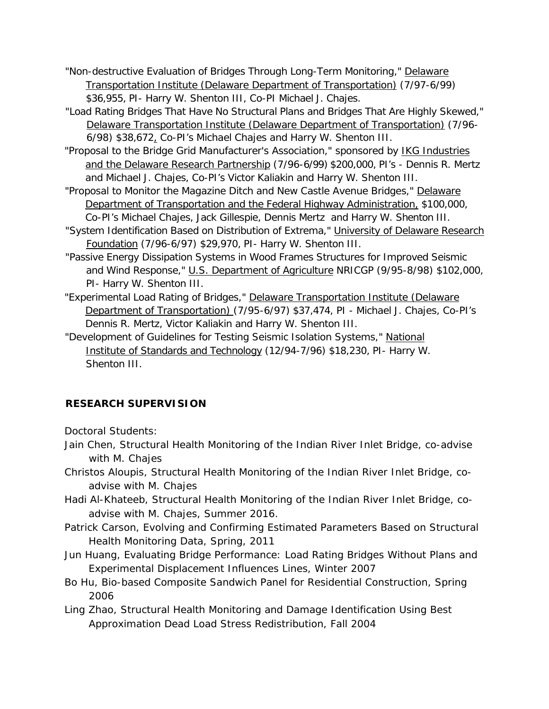- "Non-destructive Evaluation of Bridges Through Long-Term Monitoring," Delaware Transportation Institute (Delaware Department of Transportation) (7/97-6/99) \$36,955, PI- Harry W. Shenton III, Co-PI Michael J. Chajes.
- "Load Rating Bridges That Have No Structural Plans and Bridges That Are Highly Skewed," Delaware Transportation Institute (Delaware Department of Transportation) (7/96- 6/98) \$38,672, Co-PI's Michael Chajes and Harry W. Shenton III.
- "Proposal to the Bridge Grid Manufacturer's Association," sponsored by IKG Industries and the Delaware Research Partnership (7/96-6/99) \$200,000, PI's - Dennis R. Mertz and Michael J. Chajes, Co-PI's Victor Kaliakin and Harry W. Shenton III.
- "Proposal to Monitor the Magazine Ditch and New Castle Avenue Bridges," Delaware Department of Transportation and the Federal Highway Administration, \$100,000, Co-PI's Michael Chajes, Jack Gillespie, Dennis Mertz and Harry W. Shenton III.
- "System Identification Based on Distribution of Extrema," University of Delaware Research Foundation (7/96-6/97) \$29,970, PI- Harry W. Shenton III.
- "Passive Energy Dissipation Systems in Wood Frames Structures for Improved Seismic and Wind Response," U.S. Department of Agriculture NRICGP (9/95-8/98) \$102,000, PI- Harry W. Shenton III.
- "Experimental Load Rating of Bridges," Delaware Transportation Institute (Delaware Department of Transportation) (7/95-6/97) \$37,474, PI - Michael J. Chajes, Co-PI's Dennis R. Mertz, Victor Kaliakin and Harry W. Shenton III.
- "Development of Guidelines for Testing Seismic Isolation Systems," National Institute of Standards and Technology (12/94-7/96) \$18,230, PI- Harry W. Shenton III.

# **RESEARCH SUPERVISION**

*Doctoral Students:*

- Jain Chen, *Structural Health Monitoring of the Indian River Inlet Bridge*, co-advise with M. Chajes
- Christos Aloupis, *Structural Health Monitoring of the Indian River Inlet Bridge*, coadvise with M. Chajes
- Hadi Al-Khateeb, *Structural Health Monitoring of the Indian River Inlet Bridge*, coadvise with M. Chajes, Summer 2016.
- Patrick Carson, *Evolving and Confirming Estimated Parameters Based on Structural Health Monitoring Data*, Spring, 2011
- Jun Huang, *Evaluating Bridge Performance: Load Rating Bridges Without Plans and Experimental Displacement Influences Lines*, Winter 2007
- Bo Hu, *Bio-based Composite Sandwich Panel for Residential Construction*, Spring 2006
- Ling Zhao, *Structural Health Monitoring and Damage Identification Using Best Approximation Dead Load Stress Redistribution*, Fall 2004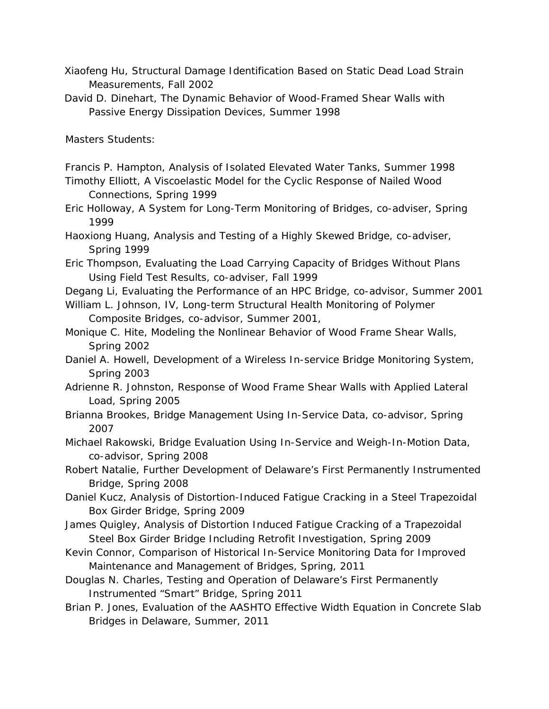- Xiaofeng Hu, *Structural Damage Identification Based on Static Dead Load Strain Measurements*, Fall 2002
- David D. Dinehart, *The Dynamic Behavior of Wood-Framed Shear Walls with Passive Energy Dissipation Devices*, Summer 1998

*Masters Students:*

- Francis P. Hampton, *Analysis of Isolated Elevated Water Tanks,* Summer 1998
- Timothy Elliott, *A Viscoelastic Model for the Cyclic Response of Nailed Wood Connections,* Spring 1999
- Eric Holloway, *A System for Long-Term Monitoring of Bridges,* co-adviser, Spring 1999
- Haoxiong Huang, *Analysis and Testing of a Highly Skewed Bridge,* co-adviser*, Spring 1999*
- Eric Thompson, *Evaluating the Load Carrying Capacity of Bridges Without Plans Using Field Test Results*, co-adviser, Fall 1999
- Degang Li, *Evaluating the Performance of an HPC Bridge*, co-advisor, Summer 2001
- William L. Johnson, IV, *Long-term Structural Health Monitoring of Polymer Composite Bridges*, co-advisor, Summer 2001,
- Monique C. Hite, *Modeling the Nonlinear Behavior of Wood Frame Shear Walls*, Spring 2002
- Daniel A. Howell, *Development of a Wireless In-service Bridge Monitoring System*, Spring 2003
- Adrienne R. Johnston, *Response of Wood Frame Shear Walls with Applied Lateral Load*, Spring 2005
- Brianna Brookes, *Bridge Management Using In-Service Data*, co-advisor, Spring 2007

Michael Rakowski, *Bridge Evaluation Using In-Service and Weigh-In-Motion Data*, co-advisor, Spring 2008

Robert Natalie, *Further Development of Delaware's First Permanently Instrumented Bridge*, Spring 2008

Daniel Kucz, *Analysis of Distortion-Induced Fatigue Cracking in a Steel Trapezoidal Box Girder Bridge*, Spring 2009

- James Quigley, *Analysis of Distortion Induced Fatigue Cracking of a Trapezoidal Steel Box Girder Bridge Including Retrofit Investigation*, Spring 2009
- Kevin Connor, *Comparison of Historical In-Service Monitoring Data for Improved Maintenance and Management of Bridges*, Spring, 2011

Douglas N. Charles, *Testing and Operation of Delaware's First Permanently Instrumented* "Smart" Bridge, Spring 2011

Brian P. Jones, *Evaluation of the AASHTO Effective Width Equation in Concrete Slab Bridges in Delaware*, Summer, 2011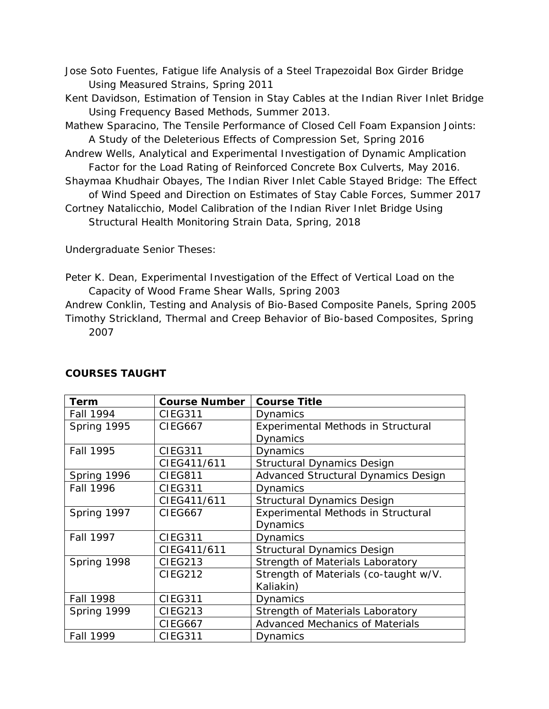- Jose Soto Fuentes, *Fatigue life Analysis of a Steel Trapezoidal Box Girder Bridge Using Measured Strains*, Spring 2011
- Kent Davidson, *Estimation of Tension in Stay Cables at the Indian River Inlet Bridge Using Frequency Based Methods*, Summer 2013.
- Mathew Sparacino, *The Tensile Performance of Closed Cell Foam Expansion Joints: A Study of the Deleterious Effects of Compression Set*, Spring 2016
- Andrew Wells, *Analytical and Experimental Investigation of Dynamic Amplication Factor for the Load Rating of Reinforced Concrete Box Culverts*, May 2016.
- Shaymaa Khudhair Obayes, *The Indian River Inlet Cable Stayed Bridge: The Effect of Wind Speed and Direction on Estimates of Stay Cable Forces*, Summer 2017
- Cortney Natalicchio, Model Calibration of the Indian River Inlet Bridge Using Structural Health Monitoring Strain Data, Spring, 2018

*Undergraduate Senior Theses:*

- Peter K. Dean, *Experimental Investigation of the Effect of Vertical Load on the Capacity of Wood Frame Shear Walls*, Spring 2003
- Andrew Conklin, *Testing and Analysis of Bio-Based Composite Panels*, Spring 2005 Timothy Strickland, *Thermal and Creep Behavior of Bio-based Composites*, Spring 2007

| Term             | <b>Course Number</b> | <b>Course Title</b>                    |
|------------------|----------------------|----------------------------------------|
| <b>Fall 1994</b> | <b>CIEG311</b>       | Dynamics                               |
| Spring 1995      | <b>CIEG667</b>       | Experimental Methods in Structural     |
|                  |                      | <b>Dynamics</b>                        |
| <b>Fall 1995</b> | <b>CIEG311</b>       | <b>Dynamics</b>                        |
|                  | CIEG411/611          | <b>Structural Dynamics Design</b>      |
| Spring 1996      | <b>CIEG811</b>       | Advanced Structural Dynamics Design    |
| <b>Fall 1996</b> | <b>CIEG311</b>       | Dynamics                               |
|                  | CIEG411/611          | <b>Structural Dynamics Design</b>      |
| Spring 1997      | <b>CIEG667</b>       | Experimental Methods in Structural     |
|                  |                      | Dynamics                               |
| <b>Fall 1997</b> | <b>CIEG311</b>       | <b>Dynamics</b>                        |
|                  | CIEG411/611          | <b>Structural Dynamics Design</b>      |
| Spring 1998      | <b>CIEG213</b>       | Strength of Materials Laboratory       |
|                  | <b>CIEG212</b>       | Strength of Materials (co-taught w/V.  |
|                  |                      | Kaliakin)                              |
| <b>Fall 1998</b> | <b>CIEG311</b>       | Dynamics                               |
| Spring 1999      | <b>CIEG213</b>       | Strength of Materials Laboratory       |
|                  | <b>CIEG667</b>       | <b>Advanced Mechanics of Materials</b> |
| Fall 1999        | <b>CIEG311</b>       | Dynamics                               |

### **COURSES TAUGHT**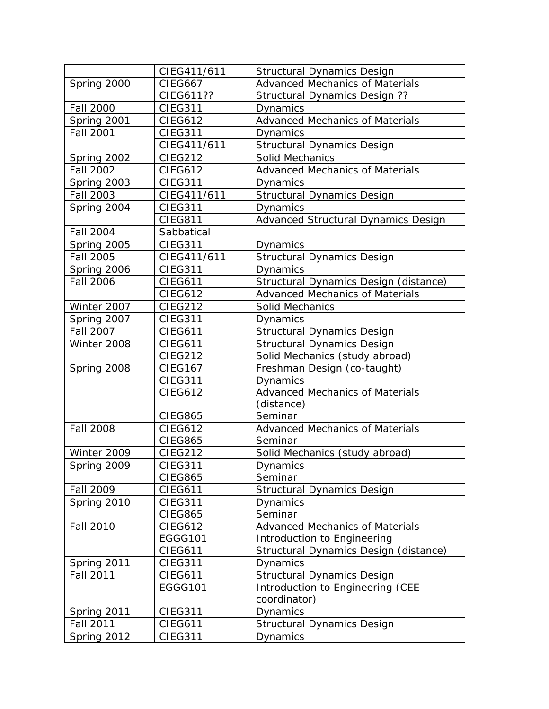|                  | CIEG411/611    | <b>Structural Dynamics Design</b>      |
|------------------|----------------|----------------------------------------|
| Spring 2000      | <b>CIEG667</b> | <b>Advanced Mechanics of Materials</b> |
|                  | CIEG611??      | Structural Dynamics Design ??          |
| <b>Fall 2000</b> | <b>CIEG311</b> | Dynamics                               |
| Spring 2001      | <b>CIEG612</b> | Advanced Mechanics of Materials        |
| <b>Fall 2001</b> | <b>CIEG311</b> | Dynamics                               |
|                  | CIEG411/611    | <b>Structural Dynamics Design</b>      |
| Spring 2002      | <b>CIEG212</b> | <b>Solid Mechanics</b>                 |
| <b>Fall 2002</b> | <b>CIEG612</b> | <b>Advanced Mechanics of Materials</b> |
| Spring 2003      | <b>CIEG311</b> | Dynamics                               |
| <b>Fall 2003</b> | CIEG411/611    | <b>Structural Dynamics Design</b>      |
| Spring 2004      | <b>CIEG311</b> | Dynamics                               |
|                  | <b>CIEG811</b> | Advanced Structural Dynamics Design    |
| <b>Fall 2004</b> | Sabbatical     |                                        |
| Spring 2005      | <b>CIEG311</b> | <b>Dynamics</b>                        |
| <b>Fall 2005</b> | CIEG411/611    | <b>Structural Dynamics Design</b>      |
| Spring 2006      | <b>CIEG311</b> | Dynamics                               |
| Fall 2006        | <b>CIEG611</b> | Structural Dynamics Design (distance)  |
|                  | <b>CIEG612</b> | <b>Advanced Mechanics of Materials</b> |
| Winter 2007      | <b>CIEG212</b> | Solid Mechanics                        |
| Spring 2007      | <b>CIEG311</b> | Dynamics                               |
| <b>Fall 2007</b> | <b>CIEG611</b> | <b>Structural Dynamics Design</b>      |
| Winter 2008      | <b>CIEG611</b> | <b>Structural Dynamics Design</b>      |
|                  | <b>CIEG212</b> | Solid Mechanics (study abroad)         |
| Spring 2008      | <b>CIEG167</b> | Freshman Design (co-taught)            |
|                  | <b>CIEG311</b> | Dynamics                               |
|                  | <b>CIEG612</b> | <b>Advanced Mechanics of Materials</b> |
|                  |                | (distance)                             |
|                  | <b>CIEG865</b> | Seminar                                |
| <b>Fall 2008</b> | <b>CIEG612</b> | <b>Advanced Mechanics of Materials</b> |
|                  | <b>CIEG865</b> | Seminar                                |
| Winter 2009      | <b>CIEG212</b> | Solid Mechanics (study abroad)         |
| Spring 2009      | <b>CIEG311</b> | <b>Dynamics</b>                        |
|                  | <b>CIEG865</b> | Seminar                                |
| Fall 2009        | <b>CIEG611</b> | <b>Structural Dynamics Design</b>      |
| Spring 2010      | <b>CIEG311</b> | Dynamics                               |
|                  | <b>CIEG865</b> | Seminar                                |
| <b>Fall 2010</b> | <b>CIEG612</b> | <b>Advanced Mechanics of Materials</b> |
|                  | EGGG101        | Introduction to Engineering            |
|                  | <b>CIEG611</b> | Structural Dynamics Design (distance)  |
| Spring 2011      | <b>CIEG311</b> | Dynamics                               |
| <b>Fall 2011</b> | <b>CIEG611</b> | <b>Structural Dynamics Design</b>      |
|                  | EGGG101        | Introduction to Engineering (CEE       |
|                  |                | coordinator)                           |
| Spring 2011      | <b>CIEG311</b> | Dynamics                               |
| <b>Fall 2011</b> | <b>CIEG611</b> | <b>Structural Dynamics Design</b>      |
| Spring 2012      | <b>CIEG311</b> | <b>Dynamics</b>                        |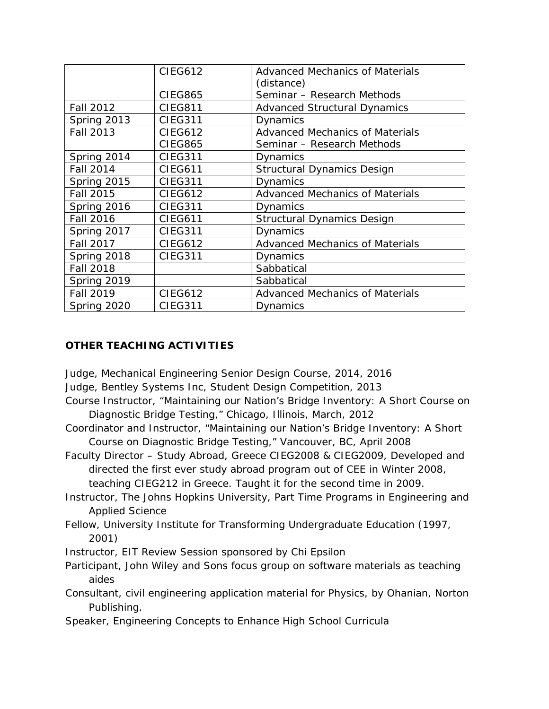|                  | <b>CIEG612</b> | Advanced Mechanics of Materials        |
|------------------|----------------|----------------------------------------|
|                  |                | (distance)                             |
|                  | <b>CIEG865</b> | Seminar - Research Methods             |
| <b>Fall 2012</b> | <b>CIEG811</b> | <b>Advanced Structural Dynamics</b>    |
| Spring 2013      | <b>CIEG311</b> | Dynamics                               |
| Fall 2013        | <b>CIEG612</b> | <b>Advanced Mechanics of Materials</b> |
|                  | <b>CIEG865</b> | Seminar - Research Methods             |
| Spring 2014      | <b>CIEG311</b> | Dynamics                               |
| Fall 2014        | <b>CIEG611</b> | <b>Structural Dynamics Design</b>      |
| Spring 2015      | <b>CIEG311</b> | Dynamics                               |
| Fall 2015        | <b>CIEG612</b> | <b>Advanced Mechanics of Materials</b> |
| Spring 2016      | <b>CIEG311</b> | Dynamics                               |
| <b>Fall 2016</b> | <b>CIEG611</b> | <b>Structural Dynamics Design</b>      |
| Spring 2017      | <b>CIEG311</b> | Dynamics                               |
| Fall 2017        | <b>CIEG612</b> | <b>Advanced Mechanics of Materials</b> |
| Spring 2018      | <b>CIEG311</b> | Dynamics                               |
| <b>Fall 2018</b> |                | Sabbatical                             |
| Spring 2019      |                | Sabbatical                             |
| <b>Fall 2019</b> | <b>CIEG612</b> | <b>Advanced Mechanics of Materials</b> |
| Spring 2020      | <b>CIEG311</b> | Dynamics                               |

# **OTHER TEACHING ACTIVITIES**

*Judge, Mechanical Engineering Senior Design Course, 2014, 2016*

*Judge, Bentley Systems Inc, Student Design Competition, 2013*

- *Course Instructor, "Maintaining our Nation's Bridge Inventory: A Short Course on Diagnostic Bridge Testing,"* Chicago, Illinois, March, 2012
- *Coordinator and Instructor, "Maintaining our Nation's Bridge Inventory: A Short Course on Diagnostic Bridge Testing,"* Vancouver, BC, April 2008

*Faculty Director – Study Abroad, Greece CIEG2008 & CIEG2009,* Developed and directed the first ever study abroad program out of CEE in Winter 2008, teaching CIEG212 in Greece. Taught it for the second time in 2009.

- *Instructor,* The Johns Hopkins University, Part Time Programs in Engineering and Applied Science
- *Fellow,* University Institute for Transforming Undergraduate Education (1997, 2001)
- *Instructor,* EIT Review Session sponsored by Chi Epsilon
- *Participant,* John Wiley and Sons focus group on software materials as teaching aides
- *Consultant,* civil engineering application material for *Physics,* by Ohanian, Norton Publishing.
- *Speaker,* Engineering Concepts to Enhance High School Curricula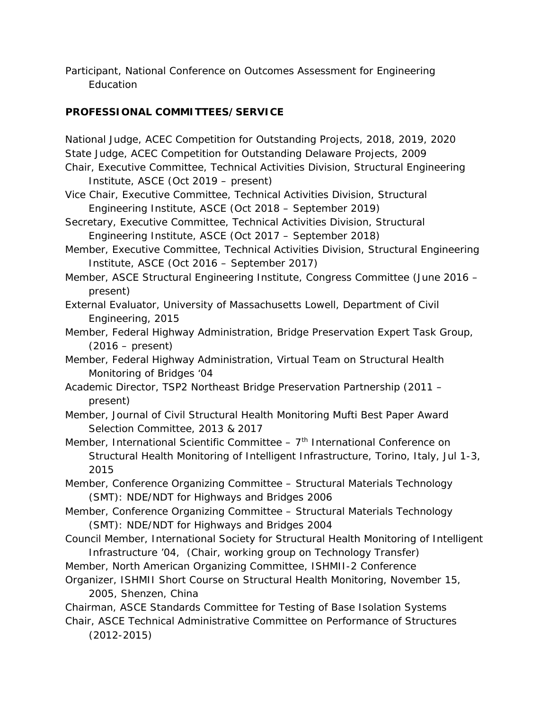*Participant,* National Conference on Outcomes Assessment for Engineering **Education** 

# **PROFESSIONAL COMMITTEES/SERVICE**

*National Judge, ACEC Competition for Outstanding Projects, 2018, 2019, 2020 State Judge, ACEC Competition for Outstanding Delaware Projects, 2009 Chair, Executive Committee, Technical Activities Division, Structural Engineering Institute, ASCE (Oct 2019 – present) Vice Chair, Executive Committee, Technical Activities Division, Structural Engineering Institute, ASCE (Oct 2018 – September 2019) Secretary, Executive Committee, Technical Activities Division, Structural Engineering Institute, ASCE (Oct 2017 – September 2018) Member, Executive Committee, Technical Activities Division, Structural Engineering Institute, ASCE (Oct 2016 – September 2017) Member, ASCE Structural Engineering Institute, Congress Committee (June 2016 – present) External Evaluator, University of Massachusetts Lowell, Department of Civil Engineering, 2015 Member, Federal Highway Administration, Bridge Preservation Expert Task Group, (2016 – present) Member, Federal Highway Administration, Virtual Team on Structural Health Monitoring of Bridges '04 Academic Director, TSP2 Northeast Bridge Preservation Partnership (2011 – present) Member, Journal of Civil Structural Health Monitoring Mufti Best Paper Award Selection Committee, 2013 & 2017 Member, International Scientific Committee* – 7<sup>th</sup> International Conference on Structural Health Monitoring of Intelligent Infrastructure, Torino, Italy, Jul 1-3, 2015 *Member, Conference Organizing Committee* – Structural Materials Technology (SMT): NDE/NDT for Highways and Bridges 2006 *Member, Conference Organizing Committee* – Structural Materials Technology (SMT): NDE/NDT for Highways and Bridges 2004 *Council Member,* International Society for Structural Health Monitoring of Intelligent Infrastructure '04, (*Chair, working group on Technology Transfer*) *Member*, North American Organizing Committee, ISHMII-2 Conference

- *Organizer*, ISHMII Short Course on Structural Health Monitoring, November 15, 2005, Shenzen, China
- *Chairman,* ASCE Standards Committee for Testing of Base Isolation Systems *Chair,* ASCE Technical Administrative Committee on Performance of Structures

*(2012-2015)*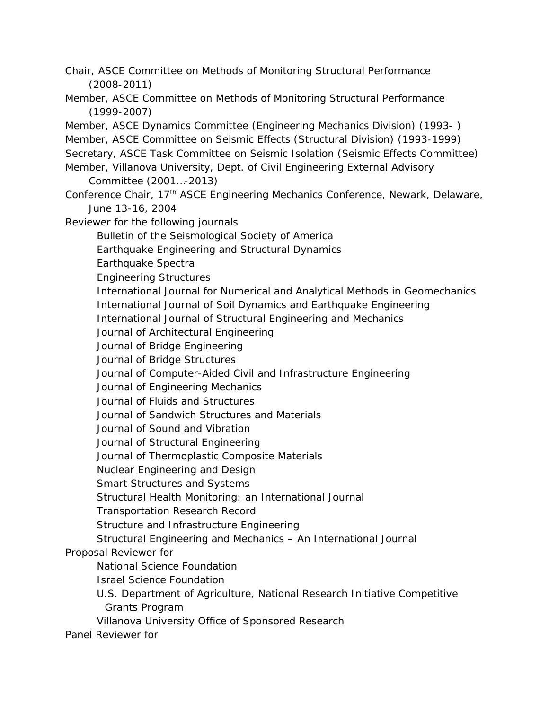*Chair,* ASCE Committee on Methods of Monitoring Structural Performance (2008-2011)

- *Member,* ASCE Committee on Methods of Monitoring Structural Performance (1999-2007)
- *Member,* ASCE Dynamics Committee (Engineering Mechanics Division) (1993- )
- *Member,* ASCE Committee on Seismic Effects (Structural Division) (1993-1999)
- *Secretary,* ASCE Task Committee on Seismic Isolation (Seismic Effects Committee)
- Member, Villanova University, Dept. of Civil Engineering External Advisory Committee (2001…-2013)
- *Conference Chair*, 17th ASCE Engineering Mechanics Conference, Newark, Delaware, June 13-16, 2004
- *Reviewer for the following journals*
	- Bulletin of the Seismological Society of America
	- Earthquake Engineering and Structural Dynamics
	- Earthquake Spectra
	- Engineering Structures
	- International Journal for Numerical and Analytical Methods in Geomechanics
	- International Journal of Soil Dynamics and Earthquake Engineering
	- International Journal of Structural Engineering and Mechanics
	- Journal of Architectural Engineering
	- Journal of Bridge Engineering
	- Journal of Bridge Structures
	- Journal of Computer-Aided Civil and Infrastructure Engineering
	- Journal of Engineering Mechanics
	- Journal of Fluids and Structures
	- Journal of Sandwich Structures and Materials
	- Journal of Sound and Vibration
	- Journal of Structural Engineering
	- Journal of Thermoplastic Composite Materials
	- Nuclear Engineering and Design
	- Smart Structures and Systems
	- Structural Health Monitoring: an International Journal
	- Transportation Research Record
	- Structure and Infrastructure Engineering
	- Structural Engineering and Mechanics An International Journal

# *Proposal Reviewer for*

- National Science Foundation
- Israel Science Foundation
- U.S. Department of Agriculture, National Research Initiative Competitive Grants Program
- Villanova University Office of Sponsored Research

*Panel Reviewer* for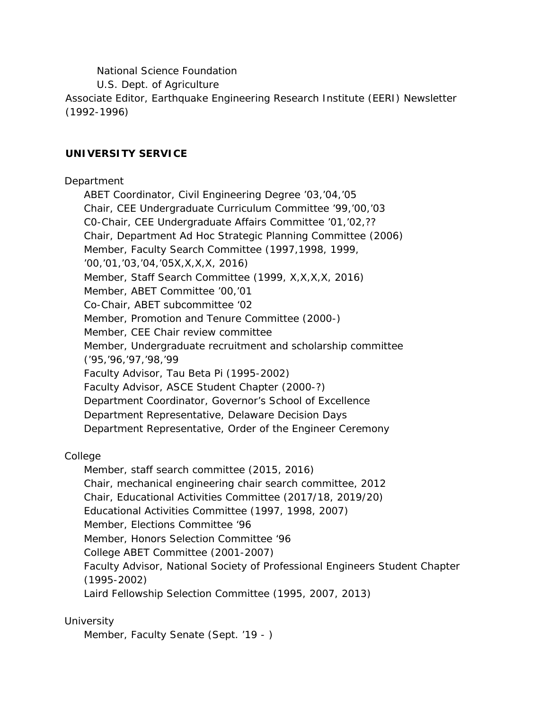National Science Foundation

U.S. Dept. of Agriculture

*Associate Editor,* Earthquake Engineering Research Institute (EERI) Newsletter (1992-1996)

# **UNIVERSITY SERVICE**

### Department

ABET Coordinator, Civil Engineering Degree '03,'04,'05 Chair, CEE Undergraduate Curriculum Committee '99,'00,'03 C0-Chair, CEE Undergraduate Affairs Committee '01,'02,?? Chair, Department Ad Hoc Strategic Planning Committee (2006) Member, Faculty Search Committee (1997,1998, 1999, '00,'01,'03,'04,'05X,X,X,X, 2016) Member, Staff Search Committee (1999, X,X,X,X, 2016) Member, ABET Committee '00,'01 Co-Chair, ABET subcommittee '02 Member, Promotion and Tenure Committee (2000-) Member, CEE Chair review committee Member, Undergraduate recruitment and scholarship committee ('95,'96,'97,'98,'99 Faculty Advisor, Tau Beta Pi (1995-2002) Faculty Advisor, ASCE Student Chapter (2000-?) Department Coordinator, Governor's School of Excellence Department Representative, Delaware Decision Days Department Representative, Order of the Engineer Ceremony

### College

Member, staff search committee (2015, 2016) Chair, mechanical engineering chair search committee, 2012 Chair, Educational Activities Committee (2017/18, 2019/20) Educational Activities Committee (1997, 1998, 2007) Member, Elections Committee '96 Member, Honors Selection Committee '96 College ABET Committee (2001-2007) Faculty Advisor, National Society of Professional Engineers Student Chapter (1995-2002) Laird Fellowship Selection Committee (1995, 2007, 2013)

### **University**

Member, Faculty Senate (Sept. '19 - )